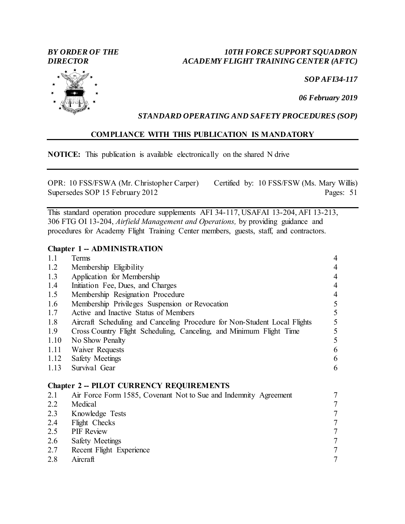## *BY ORDER OF THE 10TH FORCE SUPPORT SQUADRON DIRECTOR ACADEMY FLIGHT TRAINING CENTER (AFTC)*

*SOP AFI34-117*

*06 February 2019*

## *STANDARD OPERATING AND SAFETY PROCEDURES (SOP)*

## **COMPLIANCE WITH THIS PUBLICATION IS MANDATORY**

**NOTICE:** This publication is available electronically on the shared N drive

OPR: 10 FSS/FSWA (Mr. Christopher Carper) Certified by: 10 FSS/FSW (Ms. Mary Willis) Supersedes SOP 15 February 2012 Pages: 51

This standard operation procedure supplements AFI 34-117, USAFAI 13-204, AFI 13-213, 306 FTG OI 13-204, *Airfield Management and Operations,* by providing guidance and procedures for Academy Flight Training Center members, guests, staff, and contractors.

## **Chapter 1 -- ADMINISTRATION**

| 1.1  | Terms                                                                     | $\overline{4}$                                  |
|------|---------------------------------------------------------------------------|-------------------------------------------------|
| 1.2  | Membership Eligibility                                                    | 4                                               |
| 1.3  | Application for Membership                                                | $\overline{4}$                                  |
| 1.4  | Initiation Fee, Dues, and Charges                                         | $\overline{4}$                                  |
| 1.5  | Membership Resignation Procedure                                          | $\overline{4}$                                  |
| 1.6  | Membership Privileges Suspension or Revocation                            | $rac{5}{5}$                                     |
| 1.7  | Active and Inactive Status of Members                                     |                                                 |
| 1.8  | Aircraft Scheduling and Canceling Procedure for Non-Student Local Flights | $\overline{5}$                                  |
| 1.9  | Cross Country Flight Scheduling, Canceling, and Minimum Flight Time       | 5                                               |
| 1.10 | No Show Penalty                                                           | 5                                               |
| 1.11 | Waiver Requests                                                           | 6                                               |
| 1.12 | <b>Safety Meetings</b>                                                    | 6                                               |
| 1.13 | Survival Gear                                                             | 6                                               |
|      | <b>Chapter 2 - PILOT CURRENCY REQUIREMENTS</b>                            |                                                 |
| 2.1  | Air Force Form 1585, Covenant Not to Sue and Indemnity Agreement          | 7                                               |
| 2.2  | Medical                                                                   | $\overline{7}$                                  |
| 2.3  | Knowledge Tests                                                           |                                                 |
| 2.4  | Flight Checks                                                             | $\begin{array}{c} 7 \\ 7 \\ 7 \\ 7 \end{array}$ |
| 2.5  | <b>PIF</b> Review                                                         |                                                 |
| 2.6  | <b>Safety Meetings</b>                                                    |                                                 |
| 2.7  | Recent Flight Experience                                                  | $\overline{7}$                                  |
| 2.8  | Aircraft                                                                  | $\overline{7}$                                  |

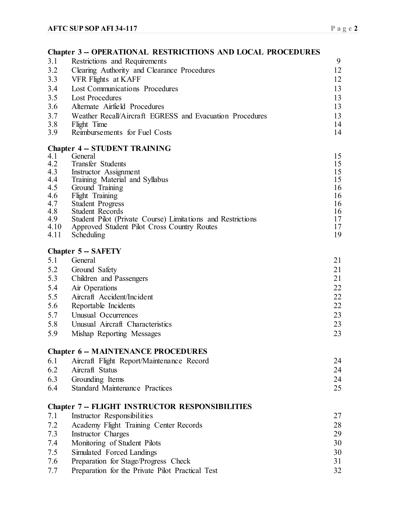|            | <b>Chapter 3 - OPERATIONAL RESTRICITIONS AND LOCAL PROCEDURES</b>                      |          |
|------------|----------------------------------------------------------------------------------------|----------|
| 3.1        | Restrictions and Requirements                                                          | 9        |
| 3.2        | Clearing Authority and Clearance Procedures                                            | 12       |
| 3.3        | VFR Flights at KAFF                                                                    | 12       |
| 3.4        | <b>Lost Communications Procedures</b>                                                  | 13       |
| 3.5        | <b>Lost Procedures</b>                                                                 | 13       |
| 3.6        | Alternate Airfield Procedures                                                          | 13       |
| 3.7        | Weather Recall/Aircraft EGRESS and Evacuation Procedures                               | 13       |
| 3.8        | Flight Time                                                                            | 14       |
| 3.9        | Reimbursements for Fuel Costs                                                          | 14       |
|            | <b>Chapter 4 -- STUDENT TRAINING</b>                                                   |          |
| 4.1        | General                                                                                | 15       |
| 4.2        | Transfer Students                                                                      | 15       |
| 4.3        | Instructor Assignment                                                                  | 15       |
| 4.4        | Training Material and Syllabus                                                         | 15       |
| 4.5        | Ground Training                                                                        | 16       |
| 4.6<br>4.7 | Flight Training<br><b>Student Progress</b>                                             | 16<br>16 |
| 4.8        | <b>Student Records</b>                                                                 | 16       |
| 4.9        | Student Pilot (Private Course) Limitations and Restrictions                            | 17       |
| 4.10       | Approved Student Pilot Cross Country Routes                                            | 17       |
| 4.11       | Scheduling                                                                             | 19       |
|            | <b>Chapter 5 - SAFETY</b>                                                              |          |
| 5.1        | General                                                                                | 21       |
| 5.2        | Ground Safety                                                                          | 21       |
| 5.3        | Children and Passengers                                                                | 21       |
| 5.4        | Air Operations                                                                         | 22       |
| 5.5        | Aircraft Accident/Incident                                                             | 22       |
| 5.6        | Reportable Incidents                                                                   | 22       |
| 5.7        | Unusual Occurrences                                                                    | 23       |
| 5.8        | Unusual Aircraft Characteristics                                                       | 23       |
| 5.9        | Mishap Reporting Messages                                                              | 23       |
|            |                                                                                        |          |
| 6.1        | <b>Chapter 6 - MAINTENANCE PROCEDURES</b><br>Aircraft Flight Report/Maintenance Record | 24       |
| 6.2        | Aircraft Status                                                                        | 24       |
| 6.3        | Grounding Items                                                                        | 24       |
| 6.4        | <b>Standard Maintenance Practices</b>                                                  | 25       |
|            |                                                                                        |          |
|            | <b>Chapter 7 -- FLIGHT INSTRUCTOR RESPONSIBILITIES</b>                                 |          |
| 7.1        | Instructor Responsibilities                                                            | 27       |
| 7.2        | Academy Flight Training Center Records                                                 | 28       |
| 7.3        | Instructor Charges                                                                     | 29       |
| 7.4        | Monitoring of Student Pilots                                                           | 30       |
| 7.5        | Simulated Forced Landings                                                              | 30       |
| 7.6        | Preparation for Stage/Progress Check                                                   | 31       |
| 7.7        | Preparation for the Private Pilot Practical Test                                       | 32       |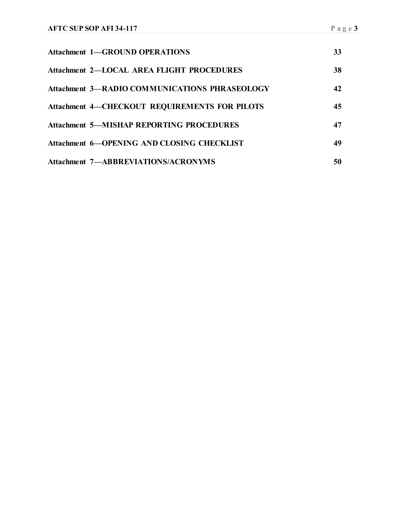| <b>Attachment 1—GROUND OPERATIONS</b>                | 33 |
|------------------------------------------------------|----|
| Attachment 2—LOCAL AREA FLIGHT PROCEDURES            | 38 |
| <b>Attachment 3-RADIO COMMUNICATIONS PHRASEOLOGY</b> | 42 |
| <b>Attachment 4—CHECKOUT REQUIREMENTS FOR PILOTS</b> | 45 |
| <b>Attachment 5—MISHAP REPORTING PROCEDURES</b>      | 47 |
| <b>Attachment 6—OPENING AND CLOSING CHECKLIST</b>    | 49 |
| <b>Attachment 7—ABBREVIATIONS/ACRONYMS</b>           | 50 |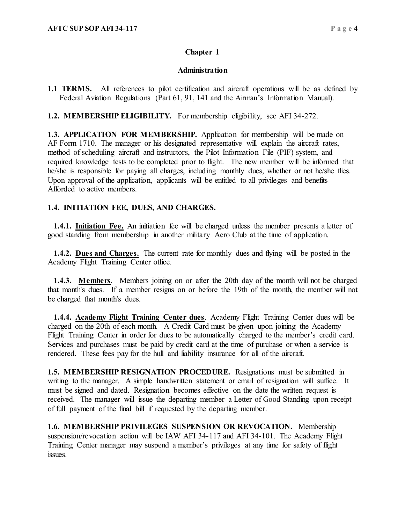## **Chapter 1**

## **Administration**

**1.1 TERMS.** All references to pilot certification and aircraft operations will be as defined by Federal Aviation Regulations (Part 61, 91, 141 and the Airman's Information Manual).

**1.2. MEMBERSHIP ELIGIBILITY.** For membership eligibility, see AFI 34-272.

**1.3. APPLICATION FOR MEMBERSHIP.** Application for membership will be made on AF Form 1710. The manager or his designated representative will explain the aircraft rates, method of scheduling aircraft and instructors, the Pilot Information File (PIF) system, and required knowledge tests to be completed prior to flight. The new member will be informed that he/she is responsible for paying all charges, including monthly dues, whether or not he/she flies. Upon approval of the application, applicants, will be entitled to all privileges and benefits Afforded to active members.

## **1.4. INITIATION FEE, DUES, AND CHARGES.**

 **1.4.1. Initiation Fee.** An initiation fee will be charged unless the member presents a letter of good standing from membership in another military Aero Club at the time of application.

 **1.4.2. Dues and Charges.** The current rate for monthly dues and flying will be posted in the Academy Flight Training Center office.

 **1.4.3. Members**. Members joining on or after the 20th day of the month will not be charged that month's dues. If a member resigns on or before the 19th of the month, the member will not be charged that month's dues.

 **1.4.4. Academy Flight Training Center dues**. Academy Flight Training Center dues will be charged on the 20th of each month. A Credit Card must be given upon joining the Academy Flight Training Center in order for dues to be automatically charged to the member's credit card. Services and purchases must be paid by credit card at the time of purchase or when a service is rendered. These fees pay for the hull and liability insurance for all of the aircraft.

**1.5. MEMBERSHIP RESIGNATION PROCEDURE.** Resignations must be submitted in writing to the manager. A simple handwritten statement or email of resignation will suffice. It must be signed and dated. Resignation becomes effective on the date the written request is received. The manager will issue the departing member a Letter of Good Standing upon receipt of full payment of the final bill if requested by the departing member.

**1.6. MEMBERSHIP PRIVILEGES SUSPENSION OR REVOCATION.** Membership suspension/revocation action will be IAW AFI 34-117 and AFI 34-101. The Academy Flight Training Center manager may suspend a member's privileges at any time for safety of flight issues.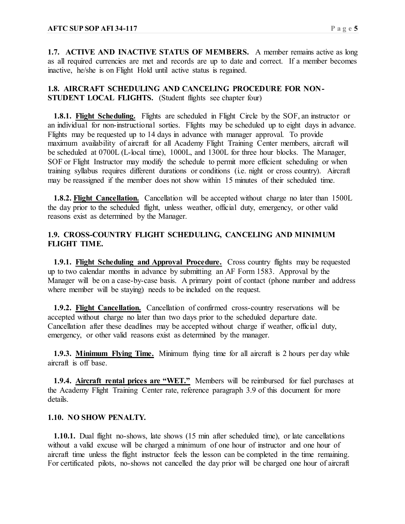**1.7. ACTIVE AND INACTIVE STATUS OF MEMBERS.** A member remains active as long as all required currencies are met and records are up to date and correct. If a member becomes inactive, he/she is on Flight Hold until active status is regained.

## **1.8. AIRCRAFT SCHEDULING AND CANCELING PROCEDURE FOR NON-STUDENT LOCAL FLIGHTS.** (Student flights see chapter four)

**1.8.1. Flight Scheduling.** Flights are scheduled in Flight Circle by the SOF, an instructor or an individual for non-instructional sorties. Flights may be scheduled up to eight days in advance. Flights may be requested up to 14 days in advance with manager approval. To provide maximum availability of aircraft for all Academy Flight Training Center members, aircraft will be scheduled at 0700L (L-local time), 1000L, and 1300L for three hour blocks. The Manager, SOF or Flight Instructor may modify the schedule to permit more efficient scheduling or when training syllabus requires different durations or conditions (i.e. night or cross country). Aircraft may be reassigned if the member does not show within 15 minutes of their scheduled time.

 **1.8.2. Flight Cancellation.** Cancellation will be accepted without charge no later than 1500L the day prior to the scheduled flight, unless weather, official duty, emergency, or other valid reasons exist as determined by the Manager.

## **1.9. CROSS-COUNTRY FLIGHT SCHEDULING, CANCELING AND MINIMUM FLIGHT TIME.**

 **1.9.1. Flight Scheduling and Approval Procedure.** Cross country flights may be requested up to two calendar months in advance by submitting an AF Form 1583. Approval by the Manager will be on a case-by-case basis. A primary point of contact (phone number and address where member will be staying) needs to be included on the request.

 **1.9.2. Flight Cancellation.** Cancellation of confirmed cross-country reservations will be accepted without charge no later than two days prior to the scheduled departure date. Cancellation after these deadlines may be accepted without charge if weather, official duty, emergency, or other valid reasons exist as determined by the manager.

 **1.9.3. Minimum Flying Time.** Minimum flying time for all aircraft is 2 hours per day while aircraft is off base.

**1.9.4. Aircraft rental prices are "WET."** Members will be reimbursed for fuel purchases at the Academy Flight Training Center rate, reference paragraph 3.9 of this document for more details.

## **1.10. NO SHOW PENALTY.**

 **1.10.1.** Dual flight no-shows, late shows (15 min after scheduled time), or late cancellations without a valid excuse will be charged a minimum of one hour of instructor and one hour of aircraft time unless the flight instructor feels the lesson can be completed in the time remaining. For certificated pilots, no-shows not cancelled the day prior will be charged one hour of aircraft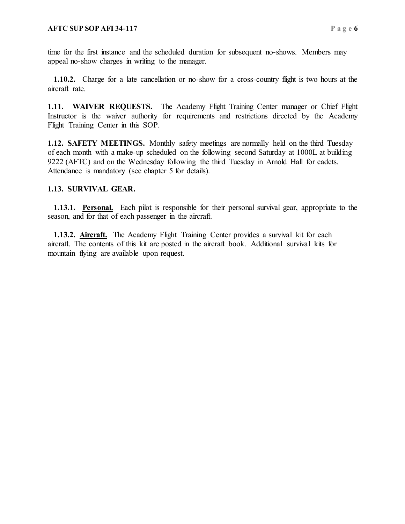time for the first instance and the scheduled duration for subsequent no-shows. Members may appeal no-show charges in writing to the manager.

 **1.10.2.** Charge for a late cancellation or no-show for a cross-country flight is two hours at the aircraft rate.

**1.11. WAIVER REQUESTS.** The Academy Flight Training Center manager or Chief Flight Instructor is the waiver authority for requirements and restrictions directed by the Academy Flight Training Center in this SOP.

**1.12. SAFETY MEETINGS.** Monthly safety meetings are normally held on the third Tuesday of each month with a make-up scheduled on the following second Saturday at 1000L at building 9222 (AFTC) and on the Wednesday following the third Tuesday in Arnold Hall for cadets. Attendance is mandatory (see chapter 5 for details).

## **1.13. SURVIVAL GEAR.**

 **1.13.1. Personal.** Each pilot is responsible for their personal survival gear, appropriate to the season, and for that of each passenger in the aircraft.

 **1.13.2. Aircraft.** The Academy Flight Training Center provides a survival kit for each aircraft. The contents of this kit are posted in the aircraft book. Additional survival kits for mountain flying are available upon request.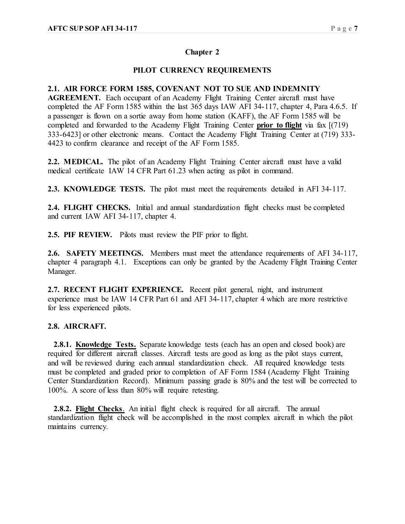## **Chapter 2**

## **PILOT CURRENCY REQUIREMENTS**

## **2.1. AIR FORCE FORM 1585, COVENANT NOT TO SUE AND INDEMNITY**

**AGREEMENT.** Each occupant of an Academy Flight Training Center aircraft must have completed the AF Form 1585 within the last 365 days IAW AFI 34-117, chapter 4, Para 4.6.5. If a passenger is flown on a sortie away from home station (KAFF), the AF Form 1585 will be completed and forwarded to the Academy Flight Training Center **prior to flight** via fax [(719) 333-6423] or other electronic means. Contact the Academy Flight Training Center at (719) 333- 4423 to confirm clearance and receipt of the AF Form 1585.

**2.2. MEDICAL.** The pilot of an Academy Flight Training Center aircraft must have a valid medical certificate IAW 14 CFR Part 61.23 when acting as pilot in command.

**2.3. KNOWLEDGE TESTS.** The pilot must meet the requirements detailed in AFI 34-117.

**2.4. FLIGHT CHECKS.** Initial and annual standardization flight checks must be completed and current IAW AFI 34-117, chapter 4.

**2.5. PIF REVIEW.** Pilots must review the PIF prior to flight.

**2.6. SAFETY MEETINGS.** Members must meet the attendance requirements of AFI 34-117, chapter 4 paragraph 4.1. Exceptions can only be granted by the Academy Flight Training Center Manager.

**2.7. RECENT FLIGHT EXPERIENCE.** Recent pilot general, night, and instrument experience must be IAW 14 CFR Part 61 and AFI 34-117, chapter 4 which are more restrictive for less experienced pilots.

## **2.8. AIRCRAFT.**

**2.8.1. Knowledge Tests.** Separate knowledge tests (each has an open and closed book) are required for different aircraft classes. Aircraft tests are good as long as the pilot stays current, and will be reviewed during each annual standardization check. All required knowledge tests must be completed and graded prior to completion of AF Form 1584 (Academy Flight Training Center Standardization Record). Minimum passing grade is 80% and the test will be corrected to 100%. A score of less than 80% will require retesting.

 **2.8.2. Flight Checks**. An initial flight check is required for all aircraft. The annual standardization flight check will be accomplished in the most complex aircraft in which the pilot maintains currency.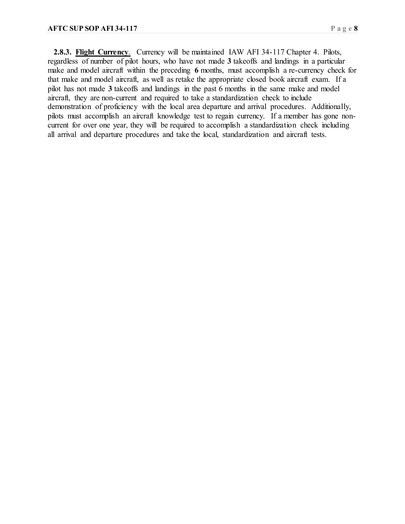**2.8.3. Flight Currency**. Currency will be maintained IAW AFI 34-117 Chapter 4. Pilots, regardless of number of pilot hours, who have not made **3** takeoffs and landings in a particular make and model aircraft within the preceding **6** months, must accomplish a re-currency check for that make and model aircraft, as well as retake the appropriate closed book aircraft exam. If a pilot has not made **3** takeoffs and landings in the past 6 months in the same make and model aircraft, they are non-current and required to take a standardization check to include demonstration of proficiency with the local area departure and arrival procedures. Additionally, pilots must accomplish an aircraft knowledge test to regain currency. If a member has gone noncurrent for over one year, they will be required to accomplish a standardization check including all arrival and departure procedures and take the local, standardization and aircraft tests.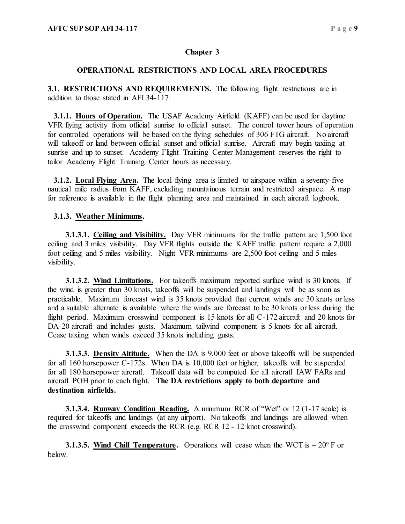## **Chapter 3**

## **OPERATIONAL RESTRICTIONS AND LOCAL AREA PROCEDURES**

**3.1. RESTRICTIONS AND REQUIREMENTS.** The following flight restrictions are in addition to those stated in AFI 34-117:

 **3.1.1. Hours of Operation.** The USAF Academy Airfield (KAFF) can be used for daytime VFR flying activity from official sunrise to official sunset. The control tower hours of operation for controlled operations will be based on the flying schedules of 306 FTG aircraft. No aircraft will takeoff or land between official sunset and official sunrise. Aircraft may begin taxiing at sunrise and up to sunset. Academy Flight Training Center Management reserves the right to tailor Academy Flight Training Center hours as necessary.

 **3.1.2. Local Flying Area.** The local flying area is limited to airspace within a seventy-five nautical mile radius from KAFF, excluding mountainous terrain and restricted airspace. A map for reference is available in the flight planning area and maintained in each aircraft logbook.

## **3.1.3. Weather Minimums.**

 **3.1.3.1. Ceiling and Visibility.** Day VFR minimums for the traffic pattern are 1,500 foot ceiling and 3 miles visibility. Day VFR flights outside the KAFF traffic pattern require a 2,000 foot ceiling and 5 miles visibility. Night VFR minimums are 2,500 foot ceiling and 5 miles visibility.

 **3.1.3.2. Wind Limitations.** For takeoffs maximum reported surface wind is 30 knots. If the wind is greater than 30 knots, takeoffs will be suspended and landings will be as soon as practicable. Maximum forecast wind is 35 knots provided that current winds are 30 knots or less and a suitable alternate is available where the winds are forecast to be 30 knots or less during the flight period. Maximum crosswind component is 15 knots for all C-172 aircraft and 20 knots for DA-20 aircraft and includes gusts. Maximum tailwind component is 5 knots for all aircraft. Cease taxiing when winds exceed 35 knots including gusts.

 **3.1.3.3. Density Altitude.** When the DA is 9,000 feet or above takeoffs will be suspended for all 160 horsepower C-172s. When DA is 10,000 feet or higher, takeoffs will be suspended for all 180 horsepower aircraft. Takeoff data will be computed for all aircraft IAW FARs and aircraft POH prior to each flight. **The DA restrictions apply to both departure and destination airfields.**

 **3.1.3.4. Runway Condition Reading.** A minimum RCR of "Wet" or 12 (1-17 scale) is required for takeoffs and landings (at any airport). No takeoffs and landings are allowed when the crosswind component exceeds the RCR (e.g. RCR 12 - 12 knot crosswind).

**3.1.3.5.** Wind Chill Temperature. Operations will cease when the WCT is  $-20^{\circ}$  F or below.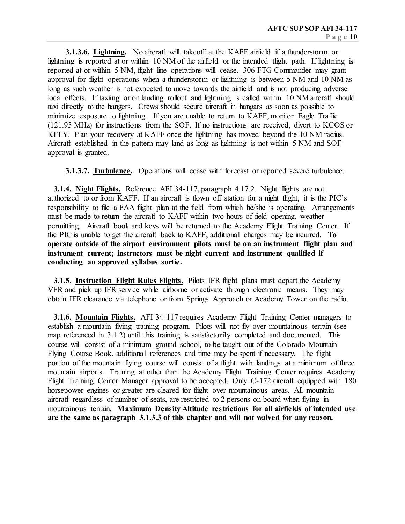**3.1.3.6. Lightning.** No aircraft will takeoff at the KAFF airfield if a thunderstorm or lightning is reported at or within 10 NM of the airfield or the intended flight path. If lightning is reported at or within 5 NM, flight line operations will cease. 306 FTG Commander may grant approval for flight operations when a thunderstorm or lightning is between 5 NM and 10 NM as long as such weather is not expected to move towards the airfield and is not producing adverse local effects. If taxiing or on landing rollout and lightning is called within 10 NM aircraft should taxi directly to the hangers. Crews should secure aircraft in hangars as soon as possible to minimize exposure to lightning. If you are unable to return to KAFF, monitor Eagle Traffic (121.95 MHz) for instructions from the SOF. If no instructions are received, divert to KCOS or KFLY. Plan your recovery at KAFF once the lightning has moved beyond the 10 NM radius. Aircraft established in the pattern may land as long as lightning is not within 5 NM and SOF approval is granted.

 **3.1.3.7. Turbulence.** Operations will cease with forecast or reported severe turbulence.

 **3.1.4. Night Flights.** Reference AFI 34-117, paragraph 4.17.2. Night flights are not authorized to or from KAFF. If an aircraft is flown off station for a night flight, it is the PIC's responsibility to file a FAA flight plan at the field from which he/she is operating. Arrangements must be made to return the aircraft to KAFF within two hours of field opening, weather permitting. Aircraft book and keys will be returned to the Academy Flight Training Center. If the PIC is unable to get the aircraft back to KAFF, additional charges may be incurred. **To operate outside of the airport environment pilots must be on an instrument flight plan and instrument current; instructors must be night current and instrument qualified if conducting an approved syllabus sortie.**

**3.1.5. Instruction Flight Rules Flights.** Pilots IFR flight plans must depart the Academy VFR and pick up IFR service while airborne or activate through electronic means. They may obtain IFR clearance via telephone or from Springs Approach or Academy Tower on the radio.

 **3.1.6. Mountain Flights.** AFI 34-117 requires Academy Flight Training Center managers to establish a mountain flying training program. Pilots will not fly over mountainous terrain (see map referenced in 3.1.2) until this training is satisfactorily completed and documented. This course will consist of a minimum ground school, to be taught out of the Colorado Mountain Flying Course Book, additional references and time may be spent if necessary. The flight portion of the mountain flying course will consist of a flight with landings at a minimum of three mountain airports. Training at other than the Academy Flight Training Center requires Academy Flight Training Center Manager approval to be accepted. Only C-172 aircraft equipped with 180 horsepower engines or greater are cleared for flight over mountainous areas. All mountain aircraft regardless of number of seats, are restricted to 2 persons on board when flying in mountainous terrain. **Maximum Density Altitude restrictions for all airfields of intended use are the same as paragraph 3.1.3.3 of this chapter and will not waived for any reason.**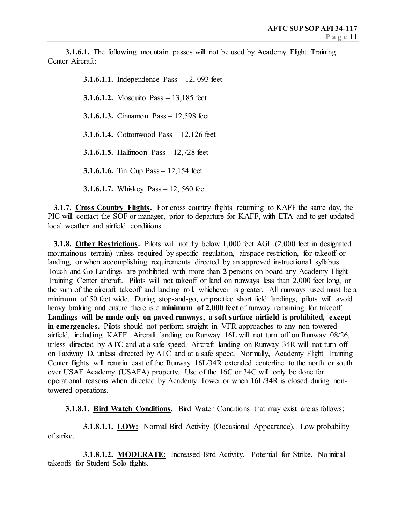**3.1.6.1.** The following mountain passes will not be used by Academy Flight Training Center Aircraft:

> **3.1.6.1.1.** Independence Pass – 12, 093 feet **3.1.6.1.2.** Mosquito Pass – 13,185 feet **3.1.6.1.3.** Cinnamon Pass – 12,598 feet **3.1.6.1.4.** Cottonwood Pass – 12,126 feet **3.1.6.1.5.** Halfmoon Pass – 12,728 feet **3.1.6.1.6.** Tin Cup Pass – 12,154 feet **3.1.6.1.7.** Whiskey Pass – 12, 560 feet

 **3.1.7. Cross Country Flights.** For cross country flights returning to KAFF the same day, the PIC will contact the SOF or manager, prior to departure for KAFF, with ETA and to get updated local weather and airfield conditions.

**3.1.8. Other Restrictions.** Pilots will not fly below 1,000 feet AGL (2,000 feet in designated mountainous terrain) unless required by specific regulation, airspace restriction, for takeoff or landing, or when accomplishing requirements directed by an approved instructional syllabus. Touch and Go Landings are prohibited with more than **2** persons on board any Academy Flight Training Center aircraft. Pilots will not takeoff or land on runways less than 2,000 feet long, or the sum of the aircraft takeoff and landing roll, whichever is greater. All runways used must be a minimum of 50 feet wide. During stop-and-go, or practice short field landings, pilots will avoid heavy braking and ensure there is a **minimum of 2,000 feet** of runway remaining for takeoff. **Landings will be made only on paved runways, a soft surface airfield is prohibited, except in emergencies.** Pilots should not perform straight-in VFR approaches to any non-towered airfield, including KAFF. Aircraft landing on Runway 16L will not turn off on Runway 08/26, unless directed by **ATC** and at a safe speed. Aircraft landing on Runway 34R will not turn off on Taxiway D, unless directed by ATC and at a safe speed. Normally, Academy Flight Training Center flights will remain east of the Runway 16L/34R extended centerline to the north or south over USAF Academy (USAFA) property. Use of the 16C or 34C will only be done for operational reasons when directed by Academy Tower or when 16L/34R is closed during nontowered operations.

**3.1.8.1. Bird Watch Conditions.** Bird Watch Conditions that may exist are as follows:

**3.1.8.1.1. LOW:** Normal Bird Activity (Occasional Appearance). Low probability of strike.

 **3.1.8.1.2. MODERATE:** Increased Bird Activity. Potential for Strike. No initial takeoffs for Student Solo flights.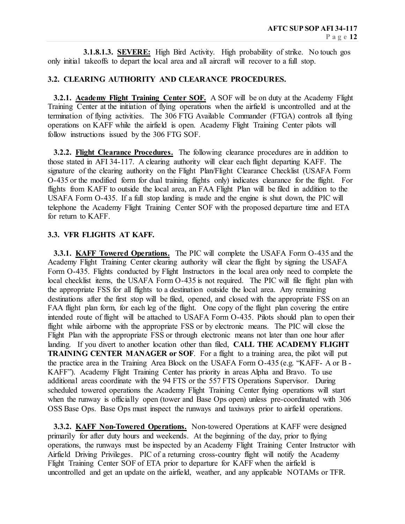**3.1.8.1.3. SEVERE:** High Bird Activity. High probability of strike. No touch gos only initial takeoffs to depart the local area and all aircraft will recover to a full stop.

## **3.2. CLEARING AUTHORITY AND CLEARANCE PROCEDURES.**

 **3.2.1. Academy Flight Training Center SOF.** A SOF will be on duty at the Academy Flight Training Center at the initiation of flying operations when the airfield is uncontrolled and at the termination of flying activities. The 306 FTG Available Commander (FTGA) controls all flying operations on KAFF while the airfield is open. Academy Flight Training Center pilots will follow instructions issued by the 306 FTG SOF.

 **3.2.2. Flight Clearance Procedures.** The following clearance procedures are in addition to those stated in AFI 34-117. A clearing authority will clear each flight departing KAFF. The signature of the clearing authority on the Flight Plan/Flight Clearance Checklist (USAFA Form O-435 or the modified form for dual training flights only) indicates clearance for the flight. For flights from KAFF to outside the local area, an FAA Flight Plan will be filed in addition to the USAFA Form O-435. If a full stop landing is made and the engine is shut down, the PIC will telephone the Academy Flight Training Center SOF with the proposed departure time and ETA for return to KAFF.

## **3.3. VFR FLIGHTS AT KAFF.**

 **3.3.1. KAFF Towered Operations.** The PIC will complete the USAFA Form O-435 and the Academy Flight Training Center clearing authority will clear the flight by signing the USAFA Form O-435. Flights conducted by Flight Instructors in the local area only need to complete the local checklist items, the USAFA Form O-435 is not required. The PIC will file flight plan with the appropriate FSS for all flights to a destination outside the local area. Any remaining destinations after the first stop will be filed, opened, and closed with the appropriate FSS on an FAA flight plan form, for each leg of the flight. One copy of the flight plan covering the entire intended route of flight will be attached to USAFA Form O-435. Pilots should plan to open their flight while airborne with the appropriate FSS or by electronic means. The PIC will close the Flight Plan with the appropriate FSS or through electronic means not later than one hour after landing. If you divert to another location other than filed, **CALL THE ACADEMY FLIGHT TRAINING CENTER MANAGER or SOF**. For a flight to a training area, the pilot will put the practice area in the Training Area Block on the USAFA Form O-435 (e.g. "KAFF- A or B - KAFF"). Academy Flight Training Center has priority in areas Alpha and Bravo. To use additional areas coordinate with the 94 FTS or the 557 FTS Operations Supervisor. During scheduled towered operations the Academy Flight Training Center flying operations will start when the runway is officially open (tower and Base Ops open) unless pre-coordinated with 306 OSS Base Ops. Base Ops must inspect the runways and taxiways prior to airfield operations.

 **3.3.2. KAFF Non-Towered Operations.** Non-towered Operations at KAFF were designed primarily for after duty hours and weekends. At the beginning of the day, prior to flying operations, the runways must be inspected by an Academy Flight Training Center Instructor with Airfield Driving Privileges. PIC of a returning cross-country flight will notify the Academy Flight Training Center SOF of ETA prior to departure for KAFF when the airfield is uncontrolled and get an update on the airfield, weather, and any applicable NOTAMs or TFR.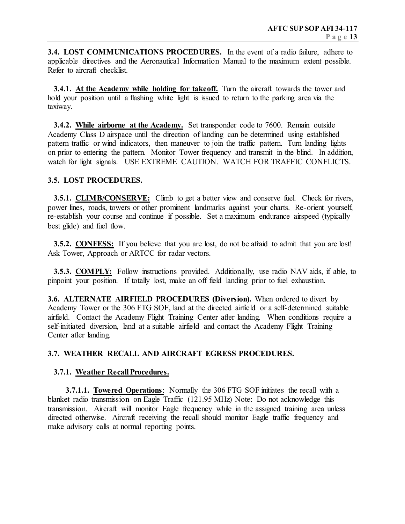**3.4. LOST COMMUNICATIONS PROCEDURES.** In the event of a radio failure, adhere to applicable directives and the Aeronautical Information Manual to the maximum extent possible. Refer to aircraft checklist.

 **3.4.1. At the Academy while holding for takeoff.** Turn the aircraft towards the tower and hold your position until a flashing white light is issued to return to the parking area via the taxiway.

 **3.4.2. While airborne at the Academy.** Set transponder code to 7600. Remain outside Academy Class D airspace until the direction of landing can be determined using established pattern traffic or wind indicators, then maneuver to join the traffic pattern. Turn landing lights on prior to entering the pattern. Monitor Tower frequency and transmit in the blind. In addition, watch for light signals. USE EXTREME CAUTION. WATCH FOR TRAFFIC CONFLICTS.

## **3.5. LOST PROCEDURES.**

**3.5.1. CLIMB/CONSERVE:** Climb to get a better view and conserve fuel. Check for rivers, power lines, roads, towers or other prominent landmarks against your charts. Re-orient yourself, re-establish your course and continue if possible. Set a maximum endurance airspeed (typically best glide) and fuel flow.

**3.5.2. CONFESS:** If you believe that you are lost, do not be afraid to admit that you are lost! Ask Tower, Approach or ARTCC for radar vectors.

 **3.5.3. COMPLY:** Follow instructions provided. Additionally, use radio NAV aids, if able, to pinpoint your position. If totally lost, make an off field landing prior to fuel exhaustion.

**3.6. ALTERNATE AIRFIELD PROCEDURES (Diversion).** When ordered to divert by Academy Tower or the 306 FTG SOF, land at the directed airfield or a self-determined suitable airfield. Contact the Academy Flight Training Center after landing. When conditions require a self-initiated diversion, land at a suitable airfield and contact the Academy Flight Training Center after landing.

## **3.7. WEATHER RECALL AND AIRCRAFT EGRESS PROCEDURES.**

#### **3.7.1. Weather Recall Procedures.**

 **3.7.1.1. Towered Operations**: Normally the 306 FTG SOF initiates the recall with a blanket radio transmission on Eagle Traffic (121.95 MHz) Note: Do not acknowledge this transmission. Aircraft will monitor Eagle frequency while in the assigned training area unless directed otherwise. Aircraft receiving the recall should monitor Eagle traffic frequency and make advisory calls at normal reporting points.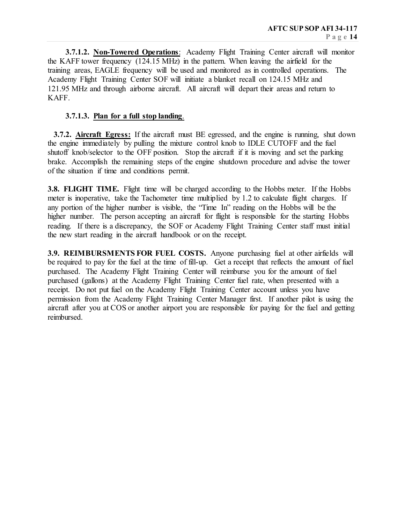**3.7.1.2. Non-Towered Operations**: Academy Flight Training Center aircraft will monitor the KAFF tower frequency (124.15 MHz) in the pattern. When leaving the airfield for the training areas, EAGLE frequency will be used and monitored as in controlled operations. The Academy Flight Training Center SOF will initiate a blanket recall on 124.15 MHz and 121.95 MHz and through airborne aircraft. All aircraft will depart their areas and return to KAFF.

## **3.7.1.3. Plan for a full stop landing**.

 **3.7.2. Aircraft Egress:** If the aircraft must BE egressed, and the engine is running, shut down the engine immediately by pulling the mixture control knob to IDLE CUTOFF and the fuel shutoff knob/selector to the OFF position. Stop the aircraft if it is moving and set the parking brake. Accomplish the remaining steps of the engine shutdown procedure and advise the tower of the situation if time and conditions permit.

**3.8. FLIGHT TIME.** Flight time will be charged according to the Hobbs meter. If the Hobbs meter is inoperative, take the Tachometer time multiplied by 1.2 to calculate flight charges. If any portion of the higher number is visible, the "Time In" reading on the Hobbs will be the higher number. The person accepting an aircraft for flight is responsible for the starting Hobbs reading. If there is a discrepancy, the SOF or Academy Flight Training Center staff must initial the new start reading in the aircraft handbook or on the receipt.

**3.9. REIMBURSMENTS FOR FUEL COSTS.** Anyone purchasing fuel at other airfields will be required to pay for the fuel at the time of fill-up. Get a receipt that reflects the amount of fuel purchased. The Academy Flight Training Center will reimburse you for the amount of fuel purchased (gallons) at the Academy Flight Training Center fuel rate, when presented with a receipt. Do not put fuel on the Academy Flight Training Center account unless you have permission from the Academy Flight Training Center Manager first. If another pilot is using the aircraft after you at COS or another airport you are responsible for paying for the fuel and getting reimbursed.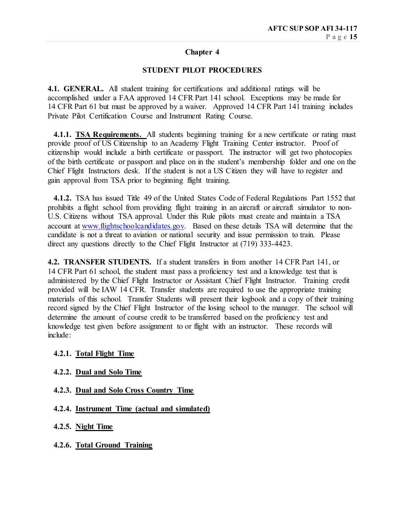## **Chapter 4**

## **STUDENT PILOT PROCEDURES**

**4.1. GENERAL.** All student training for certifications and additional ratings will be accomplished under a FAA approved 14 CFR Part 141 school. Exceptions may be made for 14 CFR Part 61 but must be approved by a waiver. Approved 14 CFR Part 141 training includes Private Pilot Certification Course and Instrument Rating Course.

 **4.1.1. TSA Requirements.** All students beginning training for a new certificate or rating must provide proof of US Citizenship to an Academy Flight Training Center instructor. Proof of citizenship would include a birth certificate or passport. The instructor will get two photocopies of the birth certificate or passport and place on in the student's membership folder and one on the Chief Flight Instructors desk. If the student is not a US Citizen they will have to register and gain approval from TSA prior to beginning flight training.

 **4.1.2.** TSA has issued Title 49 of the United States Code of Federal Regulations Part 1552 that prohibits a flight school from providing flight training in an aircraft or aircraft simulator to non-U.S. Citizens without TSA approval. Under this Rule pilots must create and maintain a TSA account at [www.flightschoolcandidates.gov.](http://www.flightschoolcandidates.gov/) Based on these details TSA will determine that the candidate is not a threat to aviation or national security and issue permission to train. Please direct any questions directly to the Chief Flight Instructor at (719) 333-4423.

**4.2. TRANSFER STUDENTS.** If a student transfers in from another 14 CFR Part 141, or 14 CFR Part 61 school, the student must pass a proficiency test and a knowledge test that is administered by the Chief Flight Instructor or Assistant Chief Flight Instructor. Training credit provided will be IAW 14 CFR. Transfer students are required to use the appropriate training materials of this school.Transfer Students will present their logbook and a copy of their training record signed by the Chief Flight Instructor of the losing school to the manager. The school will determine the amount of course credit to be transferred based on the proficiency test and knowledge test given before assignment to or flight with an instructor. These records will include:

#### **4.2.1. Total Flight Time**

- **4.2.2. Dual and Solo Time**
- **4.2.3. Dual and Solo Cross Country Time**
- **4.2.4. Instrument Time (actual and simulated)**
- **4.2.5. Night Time**
- **4.2.6. Total Ground Training**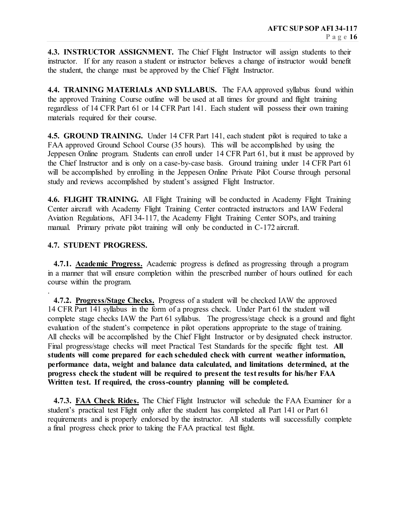**4.3. INSTRUCTOR ASSIGNMENT.** The Chief Flight Instructor will assign students to their instructor. If for any reason a student or instructor believes a change of instructor would benefit the student, the change must be approved by the Chief Flight Instructor.

**4.4. TRAINING MATERIALs AND SYLLABUS.** The FAA approved syllabus found within the approved Training Course outline will be used at all times for ground and flight training regardless of 14 CFR Part 61 or 14 CFR Part 141. Each student will possess their own training materials required for their course.

**4.5. GROUND TRAINING.** Under 14 CFR Part 141, each student pilot is required to take a FAA approved Ground School Course (35 hours). This will be accomplished by using the Jeppesen Online program. Students can enroll under 14 CFR Part 61, but it must be approved by the Chief Instructor and is only on a case-by-case basis. Ground training under 14 CFR Part 61 will be accomplished by enrolling in the Jeppesen Online Private Pilot Course through personal study and reviews accomplished by student's assigned Flight Instructor.

**4.6. FLIGHT TRAINING.** All Flight Training will be conducted in Academy Flight Training Center aircraft with Academy Flight Training Center contracted instructors and IAW Federal Aviation Regulations, AFI 34-117, the Academy Flight Training Center SOPs, and training manual. Primary private pilot training will only be conducted in C-172 aircraft.

## **4.7. STUDENT PROGRESS.**

.

 **4.7.1. Academic Progress.** Academic progress is defined as progressing through a program in a manner that will ensure completion within the prescribed number of hours outlined for each course within the program.

 **4.7.2. Progress/Stage Checks.** Progress of a student will be checked IAW the approved 14 CFR Part 141 syllabus in the form of a progress check. Under Part 61 the student will complete stage checks IAW the Part 61 syllabus. The progress/stage check is a ground and flight evaluation of the student's competence in pilot operations appropriate to the stage of training. All checks will be accomplished by the Chief Flight Instructor or by designated check instructor. Final progress/stage checks will meet Practical Test Standards for the specific flight test. **All students will come prepared for each scheduled check with current weather information, performance data, weight and balance data calculated, and limitations determined, at the progress check the student will be required to present the test results for his/her FAA Written test. If required, the cross-country planning will be completed.**

 **4.7.3. FAA Check Rides.** The Chief Flight Instructor will schedule the FAA Examiner for a student's practical test Flight only after the student has completed all Part 141 or Part 61 requirements and is properly endorsed by the instructor. All students will successfully complete a final progress check prior to taking the FAA practical test flight.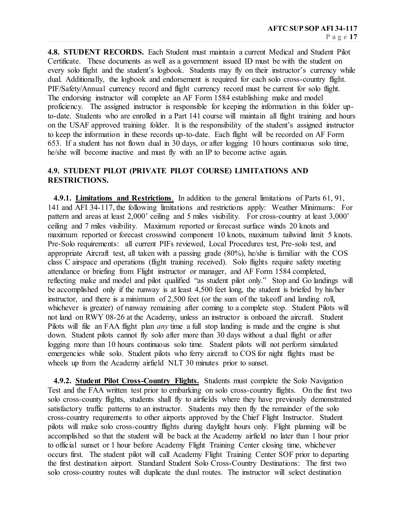**4.8. STUDENT RECORDS.** Each Student must maintain a current Medical and Student Pilot Certificate. These documents as well as a government issued ID must be with the student on every solo flight and the student's logbook. Students may fly on their instructor's currency while dual. Additionally, the logbook and endorsement is required for each solo cross-country flight. PIF/Safety/Annual currency record and flight currency record must be current for solo flight. The endorsing instructor will complete an AF Form 1584 establishing make and model proficiency. The assigned instructor is responsible for keeping the information in this folder upto-date. Students who are enrolled in a Part 141 course will maintain all flight training and hours on the USAF approved training folder. It is the responsibility of the student's assigned instructor to keep the information in these records up-to-date. Each flight will be recorded on AF Form 653. If a student has not flown dual in 30 days, or after logging 10 hours continuous solo time, he/she will become inactive and must fly with an IP to become active again.

## **4.9. STUDENT PILOT (PRIVATE PILOT COURSE) LIMITATIONS AND RESTRICTIONS.**

 **4.9.1. Limitations and Restrictions**. In addition to the general limitations of Parts 61, 91, 141 and AFI 34-117, the following limitations and restrictions apply: Weather Minimums: For pattern and areas at least 2,000' ceiling and 5 miles visibility. For cross-country at least 3,000' ceiling and 7 miles visibility. Maximum reported or forecast surface winds 20 knots and maximum reported or forecast crosswind component 10 knots, maximum tailwind limit 5 knots. Pre-Solo requirements: all current PIFs reviewed, Local Procedures test, Pre-solo test, and appropriate Aircraft test, all taken with a passing grade (80%), he/she is familiar with the COS class C airspace and operations (flight training received). Solo flights require safety meeting attendance or briefing from Flight instructor or manager, and AF Form 1584 completed, reflecting make and model and pilot qualified "as student pilot only." Stop and Go landings will be accomplished only if the runway is at least 4,500 feet long, the student is briefed by his/her instructor, and there is a minimum of 2,500 feet (or the sum of the takeoff and landing roll, whichever is greater) of runway remaining after coming to a complete stop. Student Pilots will not land on RWY 08-26 at the Academy, unless an instructor is onboard the aircraft. Student Pilots will file an FAA flight plan *any* time a full stop landing is made and the engine is shut down. Student pilots cannot fly solo after more than 30 days without a dual flight or after logging more than 10 hours continuous solo time. Student pilots will not perform simulated emergencies while solo. Student pilots who ferry aircraft to COS for night flights must be wheels up from the Academy airfield NLT 30 minutes prior to sunset.

 **4.9.2. Student Pilot Cross-Country Flights.** Students must complete the Solo Navigation Test and the FAA written test prior to embarking on solo cross-country flights. On the first two solo cross-county flights, students shall fly to airfields where they have previously demonstrated satisfactory traffic patterns to an instructor. Students may then fly the remainder of the solo cross-country requirements to other airports approved by the Chief Flight Instructor. Student pilots will make solo cross-country flights during daylight hours only. Flight planning will be accomplished so that the student will be back at the Academy airfield no later than 1 hour prior to official sunset or 1 hour before Academy Flight Training Center closing time, whichever occurs first. The student pilot will call Academy Flight Training Center SOF prior to departing the first destination airport. Standard Student Solo Cross-Country Destinations: The first two solo cross-country routes will duplicate the dual routes. The instructor will select destination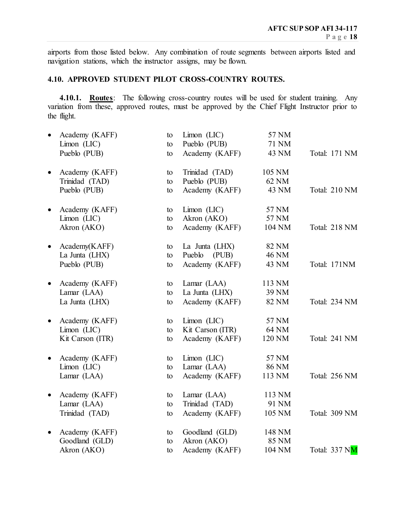airports from those listed below. Any combination of route segments between airports listed and navigation stations, which the instructor assigns, may be flown.

## **4.10. APPROVED STUDENT PILOT CROSS-COUNTRY ROUTES.**

**4.10.1. Routes**: The following cross-country routes will be used for student training. Any variation from these, approved routes, must be approved by the Chief Flight Instructor prior to the flight.

|           | Academy (KAFF)                | to       | $Limon$ (LIC)                  | 57 NM          |               |
|-----------|-------------------------------|----------|--------------------------------|----------------|---------------|
|           | $Limon$ (LIC)<br>Pueblo (PUB) | to<br>to | Pueblo (PUB)<br>Academy (KAFF) | 71 NM<br>43 NM | Total: 171 NM |
|           |                               |          |                                |                |               |
| $\bullet$ | Academy (KAFF)                | to       | Trinidad (TAD)                 | 105 NM         |               |
|           | Trinidad (TAD)                | to       | Pueblo (PUB)                   | 62 NM          |               |
|           | Pueblo (PUB)                  | to       | Academy (KAFF)                 | 43 NM          | Total: 210 NM |
|           | Academy (KAFF)                | to       | $Limon$ ( $LIC$ )              | 57 NM          |               |
|           | $Limon$ (LIC)                 | to       | Akron (AKO)                    | 57 NM          |               |
|           | Akron (AKO)                   | to       | Academy (KAFF)                 | 104 NM         | Total: 218 NM |
| $\bullet$ | Academy(KAFF)                 | to       | La Junta (LHX)                 | 82 NM          |               |
|           | La Junta (LHX)                | to       | (PUB)<br>Pueblo                | 46 NM          |               |
|           | Pueblo (PUB)                  | to       | Academy (KAFF)                 | 43 NM          | Total: 171NM  |
|           | Academy (KAFF)                | to       | Lamar (LAA)                    | 113 NM         |               |
|           | Lamar (LAA)                   | to       | La Junta (LHX)                 | 39 NM          |               |
|           | La Junta (LHX)                | to       | Academy (KAFF)                 | 82 NM          | Total: 234 NM |
| $\bullet$ | Academy (KAFF)                | to       | $Limon$ (LIC)                  | 57 NM          |               |
|           | Limon (LIC)                   | to       | Kit Carson (ITR)               | 64 NM          |               |
|           | Kit Carson (ITR)              | to       | Academy (KAFF)                 | 120 NM         | Total: 241 NM |
| $\bullet$ | Academy (KAFF)                | to       | $Limon$ (LIC)                  | 57 NM          |               |
|           | $Limon$ ( $LIC$ )             | to       | Lamar (LAA)                    | <b>86 NM</b>   |               |
|           | Lamar (LAA)                   | to       | Academy (KAFF)                 | 113 NM         | Total: 256 NM |
| $\bullet$ | Academy (KAFF)                | to       | Lamar (LAA)                    | 113 NM         |               |
|           | Lamar (LAA)                   | to       | Trinidad (TAD)                 | 91 NM          |               |
|           | Trinidad (TAD)                | to       | Academy (KAFF)                 | 105 NM         | Total: 309 NM |
| $\bullet$ | Academy (KAFF)                | to       | Goodland (GLD)                 | 148 NM         |               |
|           | Goodland (GLD)                | to       | Akron (AKO)                    | 85 NM          |               |
|           | Akron (AKO)                   | to       | Academy (KAFF)                 | 104 NM         | Total: 337 NM |
|           |                               |          |                                |                |               |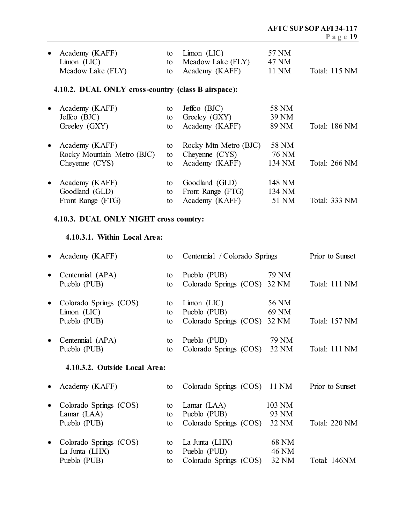| Academy (KAFF)<br>$Limon$ (LIC)                     | to<br>to | $Limon$ (LIC)<br>Meadow Lake (FLY) | 57 NM<br>47 NM |               |
|-----------------------------------------------------|----------|------------------------------------|----------------|---------------|
| Meadow Lake (FLY)                                   | to       | Academy (KAFF)                     | 11 NM          | Total: 115 NM |
| 4.10.2. DUAL ONLY cross-country (class B airspace): |          |                                    |                |               |
| Academy (KAFF)                                      | to       | Jeffco $(BJC)$                     | 58 NM          |               |
| Jeffco $(BJC)$                                      | to       | Greeley (GXY)                      | 39 NM          |               |
| Greeley (GXY)                                       | to       | Academy (KAFF)                     | 89 NM          | Total: 186 NM |
| Academy (KAFF)                                      | to       | Rocky Mtn Metro (BJC)              | 58 NM          |               |
| Rocky Mountain Metro (BJC)                          | to       | Cheyenne $(CYS)$                   | 76 NM          |               |
| Cheyenne (CYS)                                      | to       | Academy (KAFF)                     | 134 NM         | Total: 266 NM |
| Academy (KAFF)                                      | to       | Goodland (GLD)                     | 148 NM         |               |
| Goodland (GLD)                                      | to       | Front Range (FTG)                  | 134 NM         |               |
| Front Range (FTG)                                   | to       | Academy (KAFF)                     | 51 NM          | Total: 333 NM |

# **4.10.3. DUAL ONLY NIGHT cross country:**

## **4.10.3.1. Within Local Area:**

| Academy (KAFF)                |    | Centennial / Colorado Springs |              | Prior to Sunset |  |
|-------------------------------|----|-------------------------------|--------------|-----------------|--|
| Centennial (APA)              | to | Pueblo (PUB)                  | 79 NM        |                 |  |
| Pueblo (PUB)                  | to | Colorado Springs (COS)        | 32 NM        | Total: 111 NM   |  |
| Colorado Springs (COS)        | to | $Limon$ (LIC)                 | 56 NM        |                 |  |
| $Limon$ (LIC)                 | to | Pueblo (PUB)                  | 69 NM        |                 |  |
| Pueblo (PUB)                  | to | Colorado Springs (COS)        | 32 NM        | Total: 157 NM   |  |
| Centennial (APA)              | to | Pueblo (PUB)                  | 79 NM        |                 |  |
| Pueblo (PUB)                  | to | Colorado Springs (COS)        | 32 NM        | Total: 111 NM   |  |
| 4.10.3.2. Outside Local Area: |    |                               |              |                 |  |
| Academy (KAFF)                | to | Colorado Springs (COS)        | 11 NM        | Prior to Sunset |  |
| Colorado Springs (COS)        | to | Lamar (LAA)                   | 103 NM       |                 |  |
| Lamar (LAA)                   | to | Pueblo (PUB)                  | 93 NM        |                 |  |
| Pueblo (PUB)                  | to | Colorado Springs (COS)        | 32 NM        | Total: 220 NM   |  |
| Colorado Springs (COS)        | to | La Junta (LHX)                | <b>68 NM</b> |                 |  |
| La Junta (LHX)                | to | Pueblo (PUB)                  | <b>46 NM</b> |                 |  |
| Pueblo (PUB)                  | to | Colorado Springs (COS)        | 32 NM        | Total: 146NM    |  |
|                               |    |                               |              |                 |  |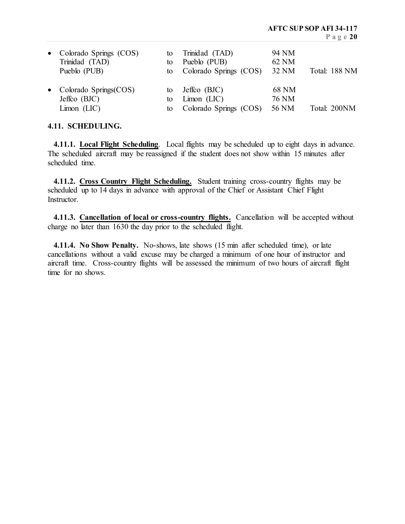| • Colorado Springs (COS)<br>Trinidad (TAD)<br>Pueblo (PUB)    | to<br>to | Trinidad (TAD)<br>Pueblo (PUB)<br>to Colorado Springs (COS)  | 94 NM<br>62 NM<br>32 NM | Total: 188 NM |
|---------------------------------------------------------------|----------|--------------------------------------------------------------|-------------------------|---------------|
| • Colorado Springs $(COS)$<br>Jeffco $(BJC)$<br>$Limon$ (LIC) | tο<br>to | Jeffco $(BJC)$<br>$Limon$ (LIC)<br>to Colorado Springs (COS) | 68 NM<br>76 NM<br>56 NM | Total: 200NM  |

## **4.11. SCHEDULING.**

 **4.11.1. Local Flight Scheduling**. Local flights may be scheduled up to eight days in advance. The scheduled aircraft may be reassigned if the student does not show within 15 minutes after scheduled time.

**4.11.2. Cross Country Flight Scheduling.** Student training cross-country flights may be scheduled up to 14 days in advance with approval of the Chief or Assistant Chief Flight **Instructor** 

 **4.11.3. Cancellation of local or cross-country flights.** Cancellation will be accepted without charge no later than 1630 the day prior to the scheduled flight.

 **4.11.4. No Show Penalty.** No-shows, late shows (15 min after scheduled time), or late cancellations without a valid excuse may be charged a minimum of one hour of instructor and aircraft time. Cross-country flights will be assessed the minimum of two hours of aircraft flight time for no shows.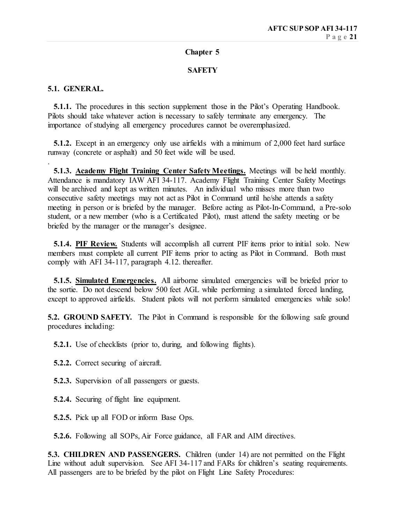## **Chapter 5**

## **SAFETY**

## **5.1. GENERAL.**

**5.1.1.** The procedures in this section supplement those in the Pilot's Operating Handbook. Pilots should take whatever action is necessary to safely terminate any emergency. The importance of studying all emergency procedures cannot be overemphasized.

 **5.1.2.** Except in an emergency only use airfields with a minimum of 2,000 feet hard surface runway (concrete or asphalt) and 50 feet wide will be used.

.  **5.1.3. Academy Flight Training Center Safety Meetings.** Meetings will be held monthly. Attendance is mandatory IAW AFI 34-117. Academy Flight Training Center Safety Meetings will be archived and kept as written minutes. An individual who misses more than two consecutive safety meetings may not act as Pilot in Command until he/she attends a safety meeting in person or is briefed by the manager. Before acting as Pilot-In-Command, a Pre-solo student, or a new member (who is a Certificated Pilot), must attend the safety meeting or be briefed by the manager or the manager's designee.

 **5.1.4. PIF Review.** Students will accomplish all current PIF items prior to initial solo. New members must complete all current PIF items prior to acting as Pilot in Command. Both must comply with AFI 34-117, paragraph 4.12. thereafter.

 **5.1.5. Simulated Emergencies.** All airborne simulated emergencies will be briefed prior to the sortie. Do not descend below 500 feet AGL while performing a simulated forced landing, except to approved airfields. Student pilots will not perform simulated emergencies while solo!

**5.2. GROUND SAFETY.** The Pilot in Command is responsible for the following safe ground procedures including:

**5.2.1.** Use of checklists (prior to, during, and following flights).

- **5.2.2.** Correct securing of aircraft.
- **5.2.3.** Supervision of all passengers or guests.
- **5.2.4.** Securing of flight line equipment.
- **5.2.5.** Pick up all FOD or inform Base Ops.

 **5.2.6.** Following all SOPs, Air Force guidance, all FAR and AIM directives.

**5.3. CHILDREN AND PASSENGERS.** Children (under 14) are not permitted on the Flight Line without adult supervision. See AFI 34-117 and FARs for children's seating requirements. All passengers are to be briefed by the pilot on Flight Line Safety Procedures: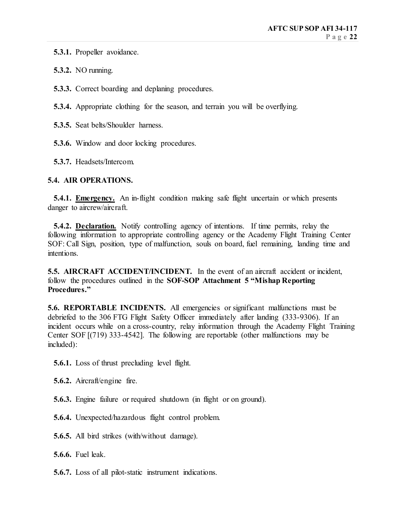**5.3.1.** Propeller avoidance.

 **5.3.2.** NO running.

 **5.3.3.** Correct boarding and deplaning procedures.

 **5.3.4.** Appropriate clothing for the season, and terrain you will be overflying.

**5.3.5.** Seat belts/Shoulder harness.

 **5.3.6.** Window and door locking procedures.

 **5.3.7.** Headsets/Intercom.

## **5.4. AIR OPERATIONS.**

 **5.4.1. Emergency.** An in-flight condition making safe flight uncertain or which presents danger to aircrew/aircraft.

**5.4.2. Declaration.** Notify controlling agency of intentions. If time permits, relay the following information to appropriate controlling agency or the Academy Flight Training Center SOF: Call Sign, position, type of malfunction, souls on board, fuel remaining, landing time and intentions.

**5.5. AIRCRAFT ACCIDENT/INCIDENT.** In the event of an aircraft accident or incident, follow the procedures outlined in the **SOF-SOP Attachment 5 "Mishap Reporting Procedures."**

**5.6. REPORTABLE INCIDENTS.** All emergencies or significant malfunctions must be debriefed to the 306 FTG Flight Safety Officer immediately after landing (333-9306). If an incident occurs while on a cross-country, relay information through the Academy Flight Training Center SOF [(719) 333-4542]. The following are reportable (other malfunctions may be included):

**5.6.1.** Loss of thrust precluding level flight.

**5.6.2.** Aircraft/engine fire.

- **5.6.3.** Engine failure or required shutdown (in flight or on ground).
- **5.6.4.** Unexpected/hazardous flight control problem.
- **5.6.5.** All bird strikes (with/without damage).
- **5.6.6.** Fuel leak.
- **5.6.7.** Loss of all pilot-static instrument indications.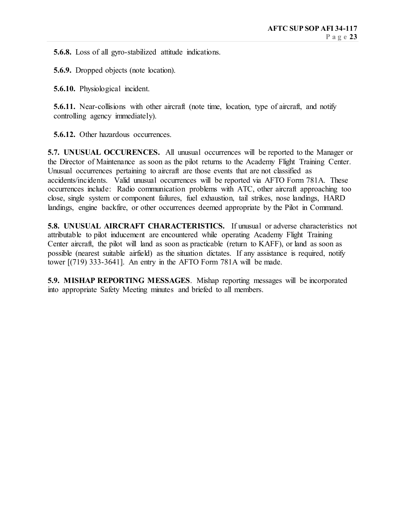**5.6.8.** Loss of all gyro-stabilized attitude indications.

 **5.6.9.** Dropped objects (note location).

 **5.6.10.** Physiological incident.

**5.6.11.** Near-collisions with other aircraft (note time, location, type of aircraft, and notify controlling agency immediately).

 **5.6.12.** Other hazardous occurrences.

**5.7. UNUSUAL OCCURENCES.** All unusual occurrences will be reported to the Manager or the Director of Maintenance as soon as the pilot returns to the Academy Flight Training Center. Unusual occurrences pertaining to aircraft are those events that are not classified as accidents/incidents. Valid unusual occurrences will be reported via AFTO Form 781A. These occurrences include: Radio communication problems with ATC, other aircraft approaching too close, single system or component failures, fuel exhaustion, tail strikes, nose landings, HARD landings, engine backfire, or other occurrences deemed appropriate by the Pilot in Command.

**5.8. UNUSUAL AIRCRAFT CHARACTERISTICS.** If unusual or adverse characteristics not attributable to pilot inducement are encountered while operating Academy Flight Training Center aircraft, the pilot will land as soon as practicable (return to KAFF), or land as soon as possible (nearest suitable airfield) as the situation dictates. If any assistance is required, notify tower [(719) 333-3641]. An entry in the AFTO Form 781A will be made.

**5.9. MISHAP REPORTING MESSAGES**. Mishap reporting messages will be incorporated into appropriate Safety Meeting minutes and briefed to all members.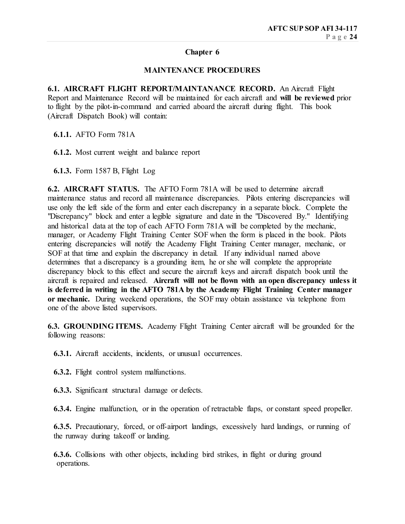## **Chapter 6**

## **MAINTENANCE PROCEDURES**

**6.1. AIRCRAFT FLIGHT REPORT/MAINTANANCE RECORD.** An Aircraft Flight Report and Maintenance Record will be maintained for each aircraft and **will be reviewed** prior to flight by the pilot-in-command and carried aboard the aircraft during flight. This book (Aircraft Dispatch Book) will contain:

 **6.1.1.** AFTO Form 781A

 **6.1.2.** Most current weight and balance report

**6.1.3.** Form 1587 B, Flight Log

**6.2. AIRCRAFT STATUS.** The AFTO Form 781A will be used to determine aircraft maintenance status and record all maintenance discrepancies. Pilots entering discrepancies will use only the left side of the form and enter each discrepancy in a separate block. Complete the "Discrepancy" block and enter a legible signature and date in the "Discovered By." Identifying and historical data at the top of each AFTO Form 781A will be completed by the mechanic, manager, or Academy Flight Training Center SOF when the form is placed in the book. Pilots entering discrepancies will notify the Academy Flight Training Center manager, mechanic, or SOF at that time and explain the discrepancy in detail. If any individual named above determines that a discrepancy is a grounding item, he or she will complete the appropriate discrepancy block to this effect and secure the aircraft keys and aircraft dispatch book until the aircraft is repaired and released. **Aircraft will not be flown with an open discrepancy unless it is deferred in writing in the AFTO 781A by the Academy Flight Training Center manager or mechanic.** During weekend operations, the SOF may obtain assistance via telephone from one of the above listed supervisors.

**6.3. GROUNDING ITEMS.** Academy Flight Training Center aircraft will be grounded for the following reasons:

**6.3.1.** Aircraft accidents, incidents, or unusual occurrences.

- **6.3.2.** Flight control system malfunctions.
- **6.3.3.** Significant structural damage or defects.

**6.3.4.** Engine malfunction, or in the operation of retractable flaps, or constant speed propeller.

 **6.3.5.** Precautionary, forced, or off-airport landings, excessively hard landings, or running of the runway during takeoff or landing.

**6.3.6.** Collisions with other objects, including bird strikes, in flight or during ground operations.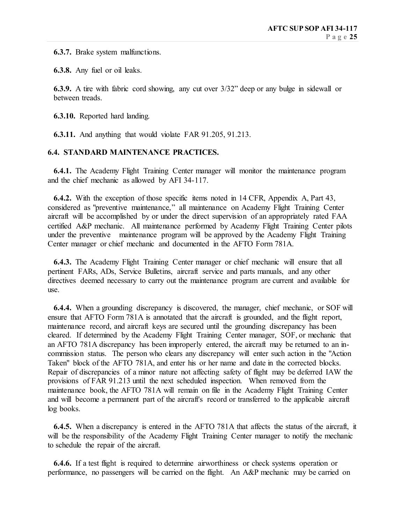**6.3.7.** Brake system malfunctions.

**6.3.8.** Any fuel or oil leaks.

**6.3.9.** A tire with fabric cord showing, any cut over 3/32" deep or any bulge in sidewall or between treads.

**6.3.10.** Reported hard landing.

**6.3.11.** And anything that would violate FAR 91.205, 91.213.

## **6.4. STANDARD MAINTENANCE PRACTICES.**

**6.4.1.** The Academy Flight Training Center manager will monitor the maintenance program and the chief mechanic as allowed by AFI 34-117.

 **6.4.2.** With the exception of those specific items noted in 14 CFR, Appendix A, Part 43, considered as "preventive maintenance," all maintenance on Academy Flight Training Center aircraft will be accomplished by or under the direct supervision of an appropriately rated FAA certified A&P mechanic. All maintenance performed by Academy Flight Training Center pilots under the preventive maintenance program will be approved by the Academy Flight Training Center manager or chief mechanic and documented in the AFTO Form 781A.

 **6.4.3.** The Academy Flight Training Center manager or chief mechanic will ensure that all pertinent FARs, ADs, Service Bulletins, aircraft service and parts manuals, and any other directives deemed necessary to carry out the maintenance program are current and available for use.

 **6.4.4.** When a grounding discrepancy is discovered, the manager, chief mechanic, or SOF will ensure that AFTO Form 781A is annotated that the aircraft is grounded, and the flight report, maintenance record, and aircraft keys are secured until the grounding discrepancy has been cleared. If determined by the Academy Flight Training Center manager, SOF, or mechanic that an AFTO 781A discrepancy has been improperly entered, the aircraft may be returned to an incommission status. The person who clears any discrepancy will enter such action in the "Action Taken" block of the AFTO 781A, and enter his or her name and date in the corrected blocks. Repair of discrepancies of a minor nature not affecting safety of flight may be deferred IAW the provisions of FAR 91.213 until the next scheduled inspection. When removed from the maintenance book, the AFTO 781A will remain on file in the Academy Flight Training Center and will become a permanent part of the aircraft's record or transferred to the applicable aircraft log books.

 **6.4.5.** When a discrepancy is entered in the AFTO 781A that affects the status of the aircraft, it will be the responsibility of the Academy Flight Training Center manager to notify the mechanic to schedule the repair of the aircraft.

 **6.4.6.** If a test flight is required to determine airworthiness or check systems operation or performance, no passengers will be carried on the flight. An A&P mechanic may be carried on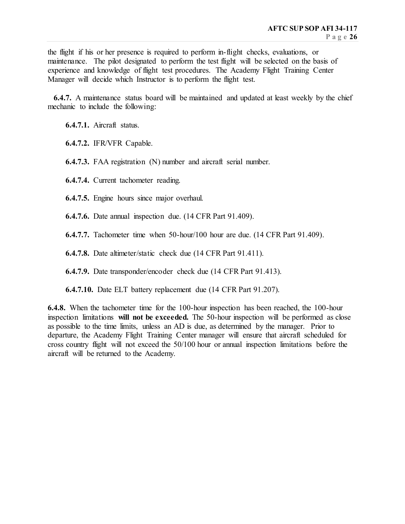the flight if his or her presence is required to perform in-flight checks, evaluations, or maintenance. The pilot designated to perform the test flight will be selected on the basis of experience and knowledge of flight test procedures. The Academy Flight Training Center Manager will decide which Instructor is to perform the flight test.

 **6.4.7.** A maintenance status board will be maintained and updated at least weekly by the chief mechanic to include the following:

**6.4.7.1.** Aircraft status.

**6.4.7.2.** IFR/VFR Capable.

**6.4.7.3.** FAA registration (N) number and aircraft serial number.

**6.4.7.4.** Current tachometer reading.

**6.4.7.5.** Engine hours since major overhaul.

**6.4.7.6.** Date annual inspection due. (14 CFR Part 91.409).

**6.4.7.7.** Tachometer time when 50-hour/100 hour are due. (14 CFR Part 91.409).

**6.4.7.8.** Date altimeter/static check due (14 CFR Part 91.411).

**6.4.7.9.** Date transponder/encoder check due (14 CFR Part 91.413).

**6.4.7.10.** Date ELT battery replacement due (14 CFR Part 91.207).

**6.4.8.** When the tachometer time for the 100-hour inspection has been reached, the 100-hour inspection limitations **will not be exceeded.** The 50-hour inspection will be performed as close as possible to the time limits, unless an AD is due, as determined by the manager. Prior to departure, the Academy Flight Training Center manager will ensure that aircraft scheduled for cross country flight will not exceed the 50/100 hour or annual inspection limitations before the aircraft will be returned to the Academy.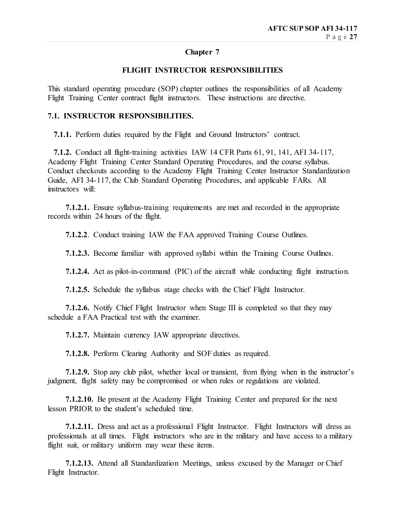## **Chapter 7**

## **FLIGHT INSTRUCTOR RESPONSIBILITIES**

This standard operating procedure (SOP) chapter outlines the responsibilities of all Academy Flight Training Center contract flight instructors. These instructions are directive.

## **7.1. INSTRUCTOR RESPONSIBILITIES.**

 **7.1.1.** Perform duties required by the Flight and Ground Instructors' contract.

 **7.1.2.** Conduct all flight-training activities IAW 14 CFR Parts 61, 91, 141, AFI 34-117, Academy Flight Training Center Standard Operating Procedures, and the course syllabus. Conduct checkouts according to the Academy Flight Training Center Instructor Standardization Guide, AFI 34-117, the Club Standard Operating Procedures, and applicable FARs. All instructors will:

 **7.1.2.1.** Ensure syllabus-training requirements are met and recorded in the appropriate records within 24 hours of the flight.

**7.1.2.2**. Conduct training IAW the FAA approved Training Course Outlines.

**7.1.2.3.** Become familiar with approved syllabi within the Training Course Outlines.

**7.1.2.4.** Act as pilot-in-command (PIC) of the aircraft while conducting flight instruction.

**7.1.2.5.** Schedule the syllabus stage checks with the Chief Flight Instructor.

**7.1.2.6.** Notify Chief Flight Instructor when Stage III is completed so that they may schedule a FAA Practical test with the examiner.

 **7.1.2.7.** Maintain currency IAW appropriate directives.

 **7.1.2.8.** Perform Clearing Authority and SOF duties as required.

 **7.1.2.9.** Stop any club pilot, whether local or transient, from flying when in the instructor's judgment, flight safety may be compromised or when rules or regulations are violated.

 **7.1.2.10.** Be present at the Academy Flight Training Center and prepared for the next lesson PRIOR to the student's scheduled time.

 **7.1.2.11.** Dress and act as a professional Flight Instructor. Flight Instructors will dress as professionals at all times. Flight instructors who are in the military and have access to a military flight suit, or military uniform may wear these items.

 **7.1.2.13.** Attend all Standardization Meetings, unless excused by the Manager or Chief Flight Instructor.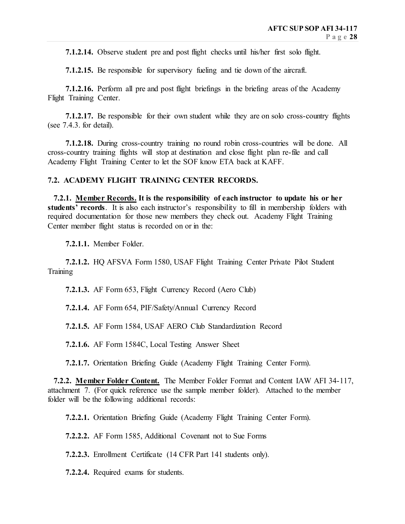**7.1.2.14.** Observe student pre and post flight checks until his/her first solo flight.

**7.1.2.15.** Be responsible for supervisory fueling and tie down of the aircraft.

 **7.1.2.16.** Perform all pre and post flight briefings in the briefing areas of the Academy Flight Training Center.

 **7.1.2.17.** Be responsible for their own student while they are on solo cross-country flights (see 7.4.3. for detail).

 **7.1.2.18.** During cross-country training no round robin cross-countries will be done. All cross-country training flights will stop at destination and close flight plan re-file and call Academy Flight Training Center to let the SOF know ETA back at KAFF.

## **7.2. ACADEMY FLIGHT TRAINING CENTER RECORDS.**

 **7.2.1. Member Records. It is the responsibility of each instructor to update his or her students' records**. It is also each instructor's responsibility to fill in membership folders with required documentation for those new members they check out. Academy Flight Training Center member flight status is recorded on or in the:

**7.2.1.1.** Member Folder.

 **7.2.1.2.** HQ AFSVA Form 1580, USAF Flight Training Center Private Pilot Student **Training** 

 **7.2.1.3.** AF Form 653, Flight Currency Record (Aero Club)

 **7.2.1.4.** AF Form 654, PIF/Safety/Annual Currency Record

 **7.2.1.5.** AF Form 1584, USAF AERO Club Standardization Record

 **7.2.1.6.** AF Form 1584C, Local Testing Answer Sheet

 **7.2.1.7.** Orientation Briefing Guide (Academy Flight Training Center Form).

 **7.2.2. Member Folder Content.** The Member Folder Format and Content IAW AFI 34-117, attachment 7. (For quick reference use the sample member folder). Attached to the member folder will be the following additional records:

 **7.2.2.1.** Orientation Briefing Guide (Academy Flight Training Center Form).

 **7.2.2.2.** AF Form 1585, Additional Covenant not to Sue Forms

 **7.2.2.3.** Enrollment Certificate (14 CFR Part 141 students only).

 **7.2.2.4.** Required exams for students.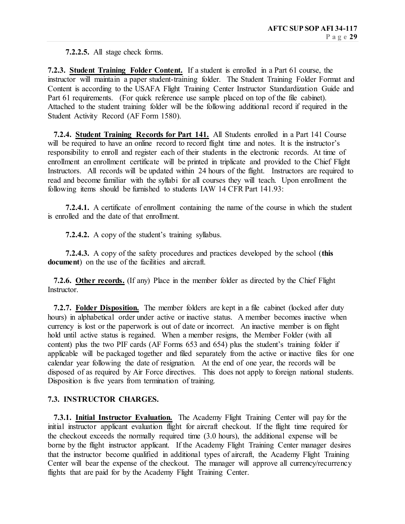**7.2.2.5.** All stage check forms.

**7.2.3. Student Training Folder Content.** If a student is enrolled in a Part 61 course, the instructor will maintain a paper student-training folder. The Student Training Folder Format and Content is according to the USAFA Flight Training Center Instructor Standardization Guide and Part 61 requirements. (For quick reference use sample placed on top of the file cabinet). Attached to the student training folder will be the following additional record if required in the Student Activity Record (AF Form 1580).

 **7.2.4. Student Training Records for Part 141.** All Students enrolled in a Part 141 Course will be required to have an online record to record flight time and notes. It is the instructor's responsibility to enroll and register each of their students in the electronic records. At time of enrollment an enrollment certificate will be printed in triplicate and provided to the Chief Flight Instructors. All records will be updated within 24 hours of the flight. Instructors are required to read and become familiar with the syllabi for all courses they will teach. Upon enrollment the following items should be furnished to students IAW 14 CFR Part 141.93:

 **7.2.4.1.** A certificate of enrollment containing the name of the course in which the student is enrolled and the date of that enrollment.

 **7.2.4.2.** A copy of the student's training syllabus.

 **7.2.4.3.** A copy of the safety procedures and practices developed by the school (**this document**) on the use of the facilities and aircraft.

 **7.2.6. Other records.** (If any) Place in the member folder as directed by the Chief Flight Instructor.

 **7.2.7. Folder Disposition.** The member folders are kept in a file cabinet (locked after duty hours) in alphabetical order under active or inactive status. A member becomes inactive when currency is lost or the paperwork is out of date or incorrect. An inactive member is on flight hold until active status is regained. When a member resigns, the Member Folder (with all content) plus the two PIF cards (AF Forms 653 and 654) plus the student's training folder if applicable will be packaged together and filed separately from the active or inactive files for one calendar year following the date of resignation. At the end of one year, the records will be disposed of as required by Air Force directives. This does not apply to foreign national students. Disposition is five years from termination of training.

## **7.3. INSTRUCTOR CHARGES.**

 **7.3.1. Initial Instructor Evaluation.** The Academy Flight Training Center will pay for the initial instructor applicant evaluation flight for aircraft checkout. If the flight time required for the checkout exceeds the normally required time (3.0 hours), the additional expense will be borne by the flight instructor applicant. If the Academy Flight Training Center manager desires that the instructor become qualified in additional types of aircraft, the Academy Flight Training Center will bear the expense of the checkout. The manager will approve all currency/recurrency flights that are paid for by the Academy Flight Training Center.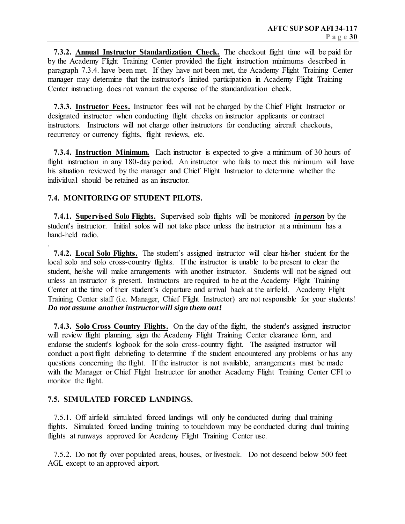**7.3.2. Annual Instructor Standardization Check.** The checkout flight time will be paid for by the Academy Flight Training Center provided the flight instruction minimums described in paragraph 7.3.4. have been met. If they have not been met, the Academy Flight Training Center manager may determine that the instructor's limited participation in Academy Flight Training Center instructing does not warrant the expense of the standardization check.

 **7.3.3. Instructor Fees.** Instructor fees will not be charged by the Chief Flight Instructor or designated instructor when conducting flight checks on instructor applicants or contract instructors. Instructors will not charge other instructors for conducting aircraft checkouts, recurrency or currency flights, flight reviews, etc.

 **7.3.4. Instruction Minimum.** Each instructor is expected to give a minimum of 30 hours of flight instruction in any 180-day period. An instructor who fails to meet this minimum will have his situation reviewed by the manager and Chief Flight Instructor to determine whether the individual should be retained as an instructor.

## **7.4. MONITORING OF STUDENT PILOTS.**

.

 **7.4.1. Supervised Solo Flights.** Supervised solo flights will be monitored *in person* by the student's instructor. Initial solos will not take place unless the instructor at a minimum has a hand-held radio.

 **7.4.2. Local Solo Flights.** The student's assigned instructor will clear his/her student for the local solo and solo cross-country flights. If the instructor is unable to be present to clear the student, he/she will make arrangements with another instructor. Students will not be signed out unless an instructor is present. Instructors are required to be at the Academy Flight Training Center at the time of their student's departure and arrival back at the airfield. Academy Flight Training Center staff (i.e. Manager, Chief Flight Instructor) are not responsible for your students! *Do not assume another instructor will sign them out!*

 **7.4.3. Solo Cross Country Flights.** On the day of the flight, the student's assigned instructor will review flight planning, sign the Academy Flight Training Center clearance form, and endorse the student's logbook for the solo cross-country flight. The assigned instructor will conduct a post flight debriefing to determine if the student encountered any problems or has any questions concerning the flight. If the instructor is not available, arrangements must be made with the Manager or Chief Flight Instructor for another Academy Flight Training Center CFI to monitor the flight.

## **7.5. SIMULATED FORCED LANDINGS.**

 7.5.1. Off airfield simulated forced landings will only be conducted during dual training flights. Simulated forced landing training to touchdown may be conducted during dual training flights at runways approved for Academy Flight Training Center use.

 7.5.2. Do not fly over populated areas, houses, or livestock. Do not descend below 500 feet AGL except to an approved airport.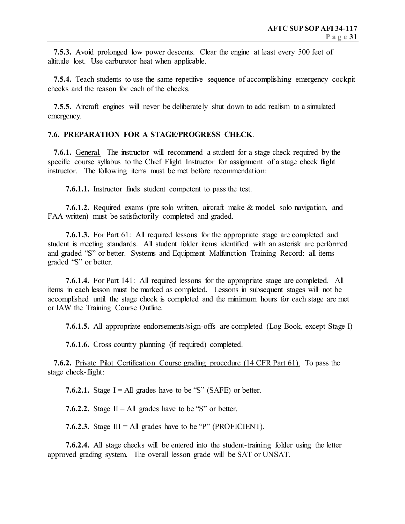**7.5.3.** Avoid prolonged low power descents. Clear the engine at least every 500 feet of altitude lost. Use carburetor heat when applicable.

 **7.5.4.** Teach students to use the same repetitive sequence of accomplishing emergency cockpit checks and the reason for each of the checks.

 **7.5.5.** Aircraft engines will never be deliberately shut down to add realism to a simulated emergency.

## **7.6. PREPARATION FOR A STAGE/PROGRESS CHECK**.

 **7.6.1.** General. The instructor will recommend a student for a stage check required by the specific course syllabus to the Chief Flight Instructor for assignment of a stage check flight instructor. The following items must be met before recommendation:

 **7.6.1.1.** Instructor finds student competent to pass the test.

 **7.6.1.2.** Required exams (pre solo written, aircraft make & model, solo navigation, and FAA written) must be satisfactorily completed and graded.

 **7.6.1.3.** For Part 61: All required lessons for the appropriate stage are completed and student is meeting standards. All student folder items identified with an asterisk are performed and graded "S" or better. Systems and Equipment Malfunction Training Record: all items graded "S" or better.

 **7.6.1.4.** For Part 141: All required lessons for the appropriate stage are completed. All items in each lesson must be marked as completed. Lessons in subsequent stages will not be accomplished until the stage check is completed and the minimum hours for each stage are met or IAW the Training Course Outline.

 **7.6.1.5.** All appropriate endorsements/sign-offs are completed (Log Book, except Stage I)

 **7.6.1.6.** Cross country planning (if required) completed.

 **7.6.2.** Private Pilot Certification Course grading procedure (14 CFR Part 61). To pass the stage check-flight:

**7.6.2.1.** Stage  $I = All$  grades have to be "S" (SAFE) or better.

**7.6.2.2.** Stage  $II = All$  grades have to be "S" or better.

**7.6.2.3.** Stage  $III = All$  grades have to be "P" (PROFICIENT).

 **7.6.2.4.** All stage checks will be entered into the student-training folder using the letter approved grading system. The overall lesson grade will be SAT or UNSAT.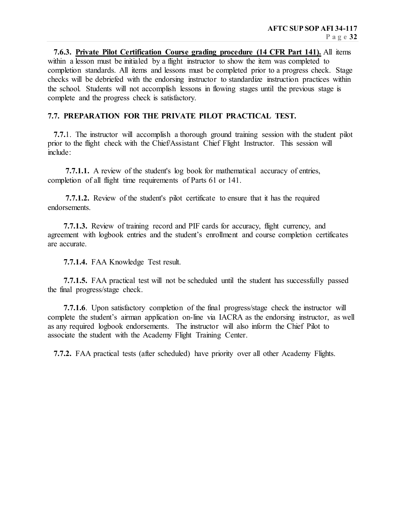**7.6.3. Private Pilot Certification Course grading procedure (14 CFR Part 141).** All items within a lesson must be initialed by a flight instructor to show the item was completed to completion standards. All items and lessons must be completed prior to a progress check. Stage checks will be debriefed with the endorsing instructor to standardize instruction practices within the school. Students will not accomplish lessons in flowing stages until the previous stage is complete and the progress check is satisfactory.

## **7.7. PREPARATION FOR THE PRIVATE PILOT PRACTICAL TEST.**

 **7.7.**1. The instructor will accomplish a thorough ground training session with the student pilot prior to the flight check with the Chief/Assistant Chief Flight Instructor. This session will include:

 **7.7.1.1.** A review of the student's log book for mathematical accuracy of entries, completion of all flight time requirements of Parts 61 or 141.

 **7.7.1.2.** Review of the student's pilot certificate to ensure that it has the required endorsements.

 **7.7.1.3.** Review of training record and PIF cards for accuracy, flight currency, and agreement with logbook entries and the student's enrollment and course completion certificates are accurate.

**7.7.1.4.** FAA Knowledge Test result.

 **7.7.1.5.** FAA practical test will not be scheduled until the student has successfully passed the final progress/stage check.

 **7.7.1.6**. Upon satisfactory completion of the final progress/stage check the instructor will complete the student's airman application on-line via IACRA as the endorsing instructor, as well as any required logbook endorsements. The instructor will also inform the Chief Pilot to associate the student with the Academy Flight Training Center.

 **7.7.2.** FAA practical tests (after scheduled) have priority over all other Academy Flights.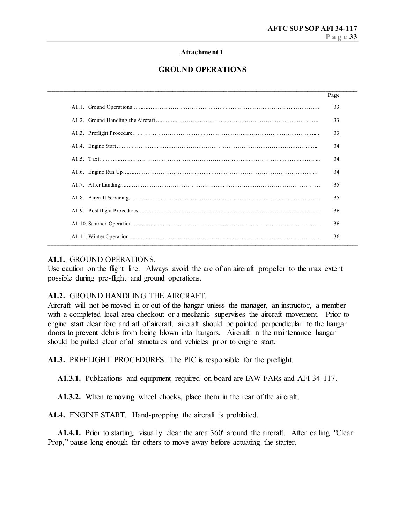## **Attachment 1**

## **GROUND OPERATIONS**

\_\_\_\_\_\_\_\_\_\_\_\_\_\_\_\_\_\_\_\_\_\_\_\_\_\_\_\_\_\_\_\_\_\_\_\_\_\_\_\_\_\_\_\_\_\_\_\_\_\_\_\_\_\_\_\_\_\_\_\_\_\_\_\_\_\_\_\_\_\_\_\_\_\_\_\_\_\_\_\_\_\_\_\_\_

| Page |
|------|
| 33   |
| 33   |
| 33   |
| 34   |
| 34   |
| 34   |
| 35   |
| 35   |
| 36   |
| 36   |
| 36   |

## **A1.1.** GROUND OPERATIONS.

Use caution on the flight line. Always avoid the arc of an aircraft propeller to the max extent possible during pre-flight and ground operations.

## **A1.2.** GROUND HANDLING THE AIRCRAFT.

Aircraft will not be moved in or out of the hangar unless the manager, an instructor, a member with a completed local area checkout or a mechanic supervises the aircraft movement. Prior to engine start clear fore and aft of aircraft, aircraft should be pointed perpendicular to the hangar doors to prevent debris from being blown into hangars. Aircraft in the maintenance hangar should be pulled clear of all structures and vehicles prior to engine start.

**A1.3.** PREFLIGHT PROCEDURES. The PIC is responsible for the preflight.

**A1.3.1.** Publications and equipment required on board are IAW FARs and AFI 34-117.

**A1.3.2.** When removing wheel chocks, place them in the rear of the aircraft.

**A1.4.** ENGINE START. Hand-propping the aircraft is prohibited.

 **A1.4.1.** Prior to starting, visually clear the area 360º around the aircraft. After calling "Clear Prop," pause long enough for others to move away before actuating the starter.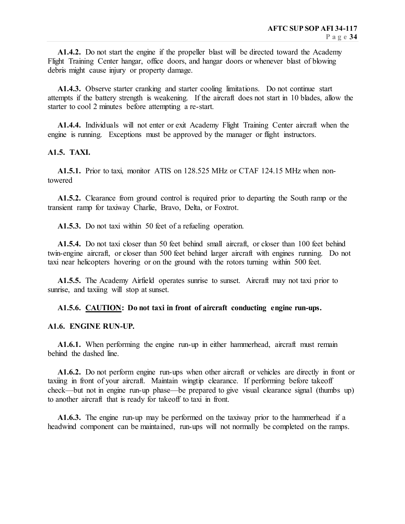**A1.4.2.** Do not start the engine if the propeller blast will be directed toward the Academy Flight Training Center hangar, office doors, and hangar doors or whenever blast of blowing debris might cause injury or property damage.

 **A1.4.3.** Observe starter cranking and starter cooling limitations. Do not continue start attempts if the battery strength is weakening. If the aircraft does not start in 10 blades, allow the starter to cool 2 minutes before attempting a re-start.

 **A1.4.4.** Individuals will not enter or exit Academy Flight Training Center aircraft when the engine is running. Exceptions must be approved by the manager or flight instructors.

#### **A1.5. TAXI.**

 **A1.5.1.** Prior to taxi, monitor ATIS on 128.525 MHz or CTAF 124.15 MHz when nontowered

 **A1.5.2.** Clearance from ground control is required prior to departing the South ramp or the transient ramp for taxiway Charlie, Bravo, Delta, or Foxtrot.

 **A1.5.3.** Do not taxi within 50 feet of a refueling operation.

 **A1.5.4.** Do not taxi closer than 50 feet behind small aircraft, or closer than 100 feet behind twin-engine aircraft, or closer than 500 feet behind larger aircraft with engines running. Do not taxi near helicopters hovering or on the ground with the rotors turning within 500 feet.

 **A1.5.5.** The Academy Airfield operates sunrise to sunset. Aircraft may not taxi prior to sunrise, and taxiing will stop at sunset.

## **A1.5.6. CAUTION: Do not taxi in front of aircraft conducting engine run-ups.**

#### **A1.6. ENGINE RUN-UP.**

 **A1.6.1.** When performing the engine run-up in either hammerhead, aircraft must remain behind the dashed line.

 **A1.6.2.** Do not perform engine run-ups when other aircraft or vehicles are directly in front or taxiing in front of your aircraft. Maintain wingtip clearance. If performing before takeoff check—but not in engine run-up phase—be prepared to give visual clearance signal (thumbs up) to another aircraft that is ready for takeoff to taxi in front.

 **A1.6.3.** The engine run-up may be performed on the taxiway prior to the hammerhead if a headwind component can be maintained, run-ups will not normally be completed on the ramps.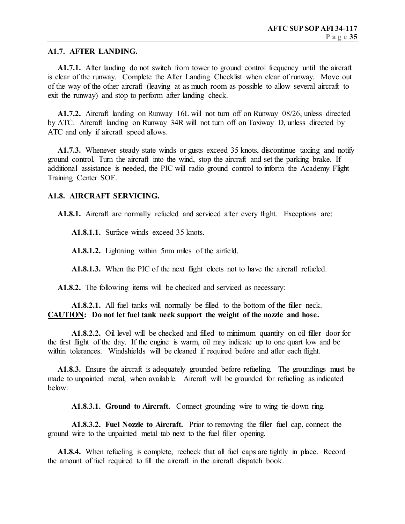#### **A1.7. AFTER LANDING.**

 **A1.7.1.** After landing do not switch from tower to ground control frequency until the aircraft is clear of the runway. Complete the After Landing Checklist when clear of runway. Move out of the way of the other aircraft (leaving at as much room as possible to allow several aircraft to exit the runway) and stop to perform after landing check.

 **A1.7.2.** Aircraft landing on Runway 16L will not turn off on Runway 08/26, unless directed by ATC. Aircraft landing on Runway 34R will not turn off on Taxiway D, unless directed by ATC and only if aircraft speed allows.

**A1.7.3.** Whenever steady state winds or gusts exceed 35 knots, discontinue taxing and notify ground control. Turn the aircraft into the wind, stop the aircraft and set the parking brake. If additional assistance is needed, the PIC will radio ground control to inform the Academy Flight Training Center SOF.

#### **A1.8. AIRCRAFT SERVICING.**

 **A1.8.1.** Aircraft are normally refueled and serviced after every flight. Exceptions are:

**A1.8.1.1.** Surface winds exceed 35 knots.

**A1.8.1.2.** Lightning within 5nm miles of the airfield.

**A1.8.1.3.** When the PIC of the next flight elects not to have the aircraft refueled.

 **A1.8.2.** The following items will be checked and serviced as necessary:

 **A1.8.2.1.** All fuel tanks will normally be filled to the bottom of the filler neck. **CAUTION: Do not let fuel tank neck support the weight of the nozzle and hose.**

 **A1.8.2.2.** Oil level will be checked and filled to minimum quantity on oil filler door for the first flight of the day. If the engine is warm, oil may indicate up to one quart low and be within tolerances. Windshields will be cleaned if required before and after each flight.

 **A1.8.3.** Ensure the aircraft is adequately grounded before refueling. The groundings must be made to unpainted metal, when available. Aircraft will be grounded for refueling as indicated below:

**A1.8.3.1. Ground to Aircraft.** Connect grounding wire to wing tie-down ring.

 **A1.8.3.2. Fuel Nozzle to Aircraft.** Prior to removing the filler fuel cap, connect the ground wire to the unpainted metal tab next to the fuel filler opening.

 **A1.8.4.** When refueling is complete, recheck that all fuel caps are tightly in place. Record the amount of fuel required to fill the aircraft in the aircraft dispatch book.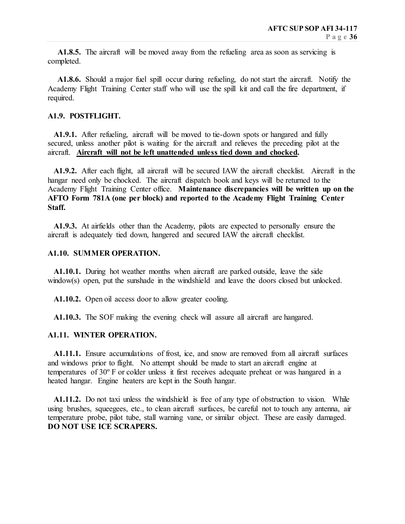**A1.8.5.** The aircraft will be moved away from the refueling area as soon as servicing is completed.

 **A1.8.6.** Should a major fuel spill occur during refueling, do not start the aircraft. Notify the Academy Flight Training Center staff who will use the spill kit and call the fire department, if required.

#### **A1.9. POSTFLIGHT.**

 **A1.9.1.** After refueling, aircraft will be moved to tie-down spots or hangared and fully secured, unless another pilot is waiting for the aircraft and relieves the preceding pilot at the aircraft. **Aircraft will not be left unattended unless tied down and chocked.**

 **A1.9.2.** After each flight, all aircraft will be secured IAW the aircraft checklist. Aircraft in the hangar need only be chocked. The aircraft dispatch book and keys will be returned to the Academy Flight Training Center office. **Maintenance discrepancies will be written up on the AFTO Form 781A (one per block) and reported to the Academy Flight Training Center Staff.**

 **A1.9.3.** At airfields other than the Academy, pilots are expected to personally ensure the aircraft is adequately tied down, hangered and secured IAW the aircraft checklist.

#### **A1.10. SUMMER OPERATION.**

 **A1.10.1.** During hot weather months when aircraft are parked outside, leave the side window(s) open, put the sunshade in the windshield and leave the doors closed but unlocked.

 **A1.10.2.** Open oil access door to allow greater cooling.

 **A1.10.3.** The SOF making the evening check will assure all aircraft are hangared.

## **A1.11. WINTER OPERATION.**

**A1.11.1.** Ensure accumulations of frost, ice, and snow are removed from all aircraft surfaces and windows prior to flight. No attempt should be made to start an aircraft engine at temperatures of 30º F or colder unless it first receives adequate preheat or was hangared in a heated hangar. Engine heaters are kept in the South hangar.

 **A1.11.2.** Do not taxi unless the windshield is free of any type of obstruction to vision. While using brushes, squeegees, etc., to clean aircraft surfaces, be careful not to touch any antenna, air temperature probe, pilot tube, stall warning vane, or similar object. These are easily damaged. **DO NOT USE ICE SCRAPERS.**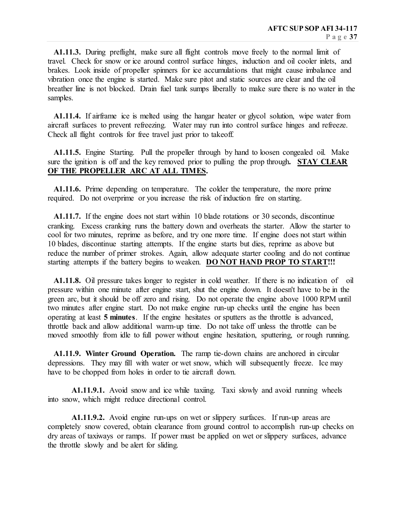**A1.11.3.** During preflight, make sure all flight controls move freely to the normal limit of travel. Check for snow or ice around control surface hinges, induction and oil cooler inlets, and brakes. Look inside of propeller spinners for ice accumulations that might cause imbalance and vibration once the engine is started. Make sure pitot and static sources are clear and the oil breather line is not blocked. Drain fuel tank sumps liberally to make sure there is no water in the samples.

 **A1.11.4.** If airframe ice is melted using the hangar heater or glycol solution, wipe water from aircraft surfaces to prevent refreezing. Water may run into control surface hinges and refreeze. Check all flight controls for free travel just prior to takeoff.

 **A1.11.5.** Engine Starting. Pull the propeller through by hand to loosen congealed oil. Make sure the ignition is off and the key removed prior to pulling the prop through**. STAY CLEAR OF THE PROPELLER ARC AT ALL TIMES.**

 **A1.11.6.** Prime depending on temperature. The colder the temperature, the more prime required. Do not overprime or you increase the risk of induction fire on starting.

 **A1.11.7.** If the engine does not start within 10 blade rotations or 30 seconds, discontinue cranking. Excess cranking runs the battery down and overheats the starter. Allow the starter to cool for two minutes, reprime as before, and try one more time. If engine does not start within 10 blades, discontinue starting attempts. If the engine starts but dies, reprime as above but reduce the number of primer strokes. Again, allow adequate starter cooling and do not continue starting attempts if the battery begins to weaken. **DO NOT HAND PROP TO START!!!**

 **A1.11.8.** Oil pressure takes longer to register in cold weather. If there is no indication of oil pressure within one minute after engine start, shut the engine down. It doesn't have to be in the green arc, but it should be off zero and rising. Do not operate the engine above 1000 RPM until two minutes after engine start. Do not make engine run-up checks until the engine has been operating at least **5 minutes**. If the engine hesitates or sputters as the throttle is advanced, throttle back and allow additional warm-up time. Do not take off unless the throttle can be moved smoothly from idle to full power without engine hesitation, sputtering, or rough running.

 **A1.11.9. Winter Ground Operation.** The ramp tie-down chains are anchored in circular depressions. They may fill with water or wet snow, which will subsequently freeze. Ice may have to be chopped from holes in order to tie aircraft down.

**A1.11.9.1.** Avoid snow and ice while taxiing. Taxi slowly and avoid running wheels into snow, which might reduce directional control.

 **A1.11.9.2.** Avoid engine run-ups on wet or slippery surfaces. If run-up areas are completely snow covered, obtain clearance from ground control to accomplish run-up checks on dry areas of taxiways or ramps. If power must be applied on wet or slippery surfaces, advance the throttle slowly and be alert for sliding.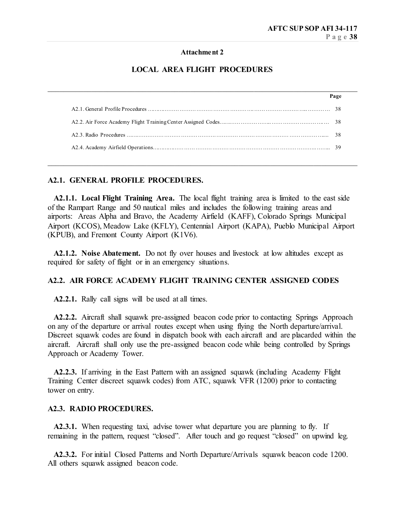#### **Attachment 2**

## **LOCAL AREA FLIGHT PROCEDURES**

\_\_\_\_\_\_\_\_\_\_\_\_\_\_\_\_\_\_\_\_\_\_\_\_\_\_\_\_\_\_\_\_\_\_\_\_\_\_\_\_\_\_\_\_\_\_\_\_\_\_\_\_\_\_\_\_\_\_\_\_\_\_\_\_\_\_\_\_\_\_\_\_\_\_\_\_\_\_

\_\_\_\_\_\_\_\_\_\_\_\_\_\_\_\_\_\_\_\_\_\_\_\_\_\_\_\_\_\_\_\_\_\_\_\_\_\_\_\_\_\_\_\_\_\_\_\_\_\_\_\_\_\_\_\_\_\_\_\_\_\_\_\_\_\_\_\_\_\_\_\_\_\_\_\_\_\_

#### **A2.1. GENERAL PROFILE PROCEDURES.**

 **A2.1.1. Local Flight Training Area.** The local flight training area is limited to the east side of the Rampart Range and 50 nautical miles and includes the following training areas and airports: Areas Alpha and Bravo, the Academy Airfield (KAFF), Colorado Springs Municipal Airport (KCOS), Meadow Lake (KFLY), Centennial Airport (KAPA), Pueblo Municipal Airport (KPUB), and Fremont County Airport (K1V6).

 **A2.1.2. Noise Abatement.** Do not fly over houses and livestock at low altitudes except as required for safety of flight or in an emergency situations.

## **A2.2. AIR FORCE ACADEMY FLIGHT TRAINING CENTER ASSIGNED CODES**

 **A2.2.1.** Rally call signs will be used at all times.

 **A2.2.2.** Aircraft shall squawk pre-assigned beacon code prior to contacting Springs Approach on any of the departure or arrival routes except when using flying the North departure/arrival. Discreet squawk codes are found in dispatch book with each aircraft and are placarded within the aircraft. Aircraft shall only use the pre-assigned beacon code while being controlled by Springs Approach or Academy Tower.

 **A2.2.3.** If arriving in the East Pattern with an assigned squawk (including Academy Flight Training Center discreet squawk codes) from ATC, squawk VFR (1200) prior to contacting tower on entry.

## **A2.3. RADIO PROCEDURES.**

**A2.3.1.** When requesting taxi, advise tower what departure you are planning to fly. If remaining in the pattern, request "closed". After touch and go request "closed" on upwind leg.

 **A2.3.2.** For initial Closed Patterns and North Departure/Arrivals squawk beacon code 1200. All others squawk assigned beacon code.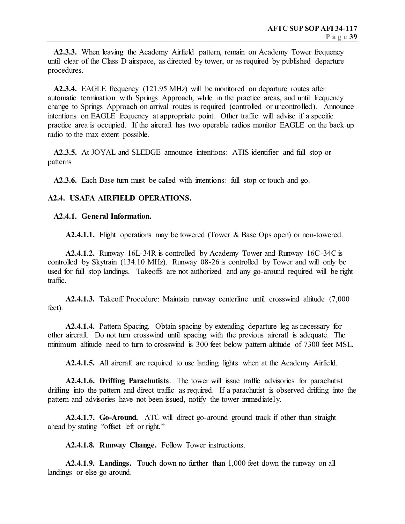**A2.3.3.** When leaving the Academy Airfield pattern, remain on Academy Tower frequency until clear of the Class D airspace, as directed by tower, or as required by published departure procedures.

 **A2.3.4.** EAGLE frequency (121.95 MHz) will be monitored on departure routes after automatic termination with Springs Approach, while in the practice areas, and until frequency change to Springs Approach on arrival routes is required (controlled or uncontrolled). Announce intentions on EAGLE frequency at appropriate point. Other traffic will advise if a specific practice area is occupied. If the aircraft has two operable radios monitor EAGLE on the back up radio to the max extent possible.

 **A2.3.5.** At JOYAL and SLEDGE announce intentions: ATIS identifier and full stop or patterns

 **A2.3.6.** Each Base turn must be called with intentions: full stop or touch and go.

## **A2.4. USAFA AIRFIELD OPERATIONS.**

## **A2.4.1. General Information.**

 **A2.4.1.1.** Flight operations may be towered (Tower & Base Ops open) or non-towered.

 **A2.4.1.2.** Runway 16L-34R is controlled by Academy Tower and Runway 16C-34C is controlled by Skytrain (134.10 MHz). Runway 08-26 is controlled by Tower and will only be used for full stop landings. Takeoffs are not authorized and any go-around required will be right traffic.

 **A2.4.1.3.** Takeoff Procedure: Maintain runway centerline until crosswind altitude (7,000 feet).

 **A2.4.1.4.** Pattern Spacing. Obtain spacing by extending departure leg as necessary for other aircraft. Do not turn crosswind until spacing with the previous aircraft is adequate. The minimum altitude need to turn to crosswind is 300 feet below pattern altitude of 7300 feet MSL.

 **A2.4.1.5.** All aircraft are required to use landing lights when at the Academy Airfield.

 **A2.4.1.6. Drifting Parachutists**. The tower will issue traffic advisories for parachutist drifting into the pattern and direct traffic as required. If a parachutist is observed drifting into the pattern and advisories have not been issued, notify the tower immediately.

 **A2.4.1.7. Go-Around.** ATC will direct go-around ground track if other than straight ahead by stating "offset left or right."

 **A2.4.1.8. Runway Change.** Follow Tower instructions.

 **A2.4.1.9. Landings.** Touch down no further than 1,000 feet down the runway on all landings or else go around.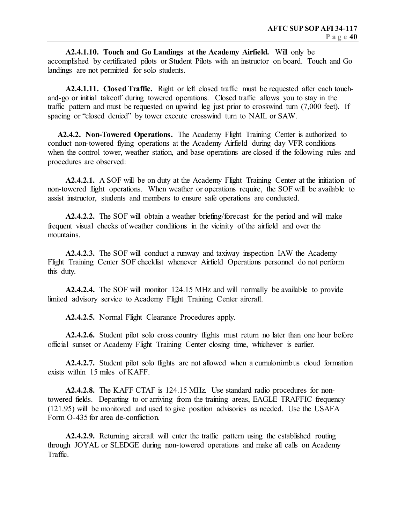**A2.4.1.10. Touch and Go Landings at the Academy Airfield.** Will only be accomplished by certificated pilots or Student Pilots with an instructor on board. Touch and Go landings are not permitted for solo students.

 **A2.4.1.11. Closed Traffic.** Right or left closed traffic must be requested after each touchand-go or initial takeoff during towered operations. Closed traffic allows you to stay in the traffic pattern and must be requested on upwind leg just prior to crosswind turn (7,000 feet). If spacing or "closed denied" by tower execute crosswind turn to NAIL or SAW.

 **A2.4.2. Non-Towered Operations.** The Academy Flight Training Center is authorized to conduct non-towered flying operations at the Academy Airfield during day VFR conditions when the control tower, weather station, and base operations are closed if the following rules and procedures are observed:

 **A2.4.2.1.** A SOF will be on duty at the Academy Flight Training Center at the initiation of non-towered flight operations. When weather or operations require, the SOF will be available to assist instructor, students and members to ensure safe operations are conducted.

 **A2.4.2.2.** The SOF will obtain a weather briefing/forecast for the period and will make frequent visual checks of weather conditions in the vicinity of the airfield and over the mountains.

 **A2.4.2.3.** The SOF will conduct a runway and taxiway inspection IAW the Academy Flight Training Center SOF checklist whenever Airfield Operations personnel do not perform this duty.

 **A2.4.2.4.** The SOF will monitor 124.15 MHz and will normally be available to provide limited advisory service to Academy Flight Training Center aircraft.

 **A2.4.2.5.** Normal Flight Clearance Procedures apply.

 **A2.4.2.6.** Student pilot solo cross country flights must return no later than one hour before official sunset or Academy Flight Training Center closing time, whichever is earlier.

 **A2.4.2.7.** Student pilot solo flights are not allowed when a cumulonimbus cloud formation exists within 15 miles of KAFF.

 **A2.4.2.8.** The KAFF CTAF is 124.15 MHz. Use standard radio procedures for nontowered fields. Departing to or arriving from the training areas, EAGLE TRAFFIC frequency (121.95) will be monitored and used to give position advisories as needed. Use the USAFA Form O-435 for area de-confliction.

 **A2.4.2.9.** Returning aircraft will enter the traffic pattern using the established routing through JOYAL or SLEDGE during non-towered operations and make all calls on Academy Traffic.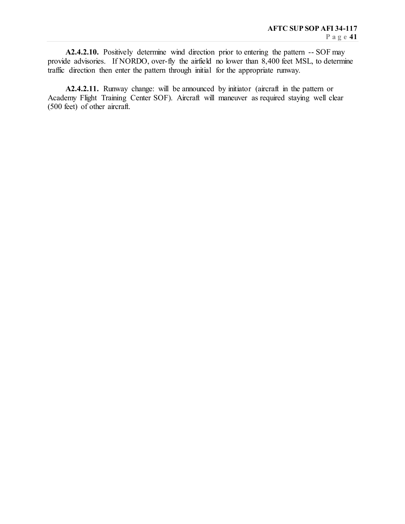**A2.4.2.10.** Positively determine wind direction prior to entering the pattern -- SOF may provide advisories. If NORDO, over-fly the airfield no lower than 8,400 feet MSL, to determine traffic direction then enter the pattern through initial for the appropriate runway.

**A2.4.2.11.** Runway change: will be announced by initiator (aircraft in the pattern or Academy Flight Training Center SOF). Aircraft will maneuver as required staying well clear (500 feet) of other aircraft.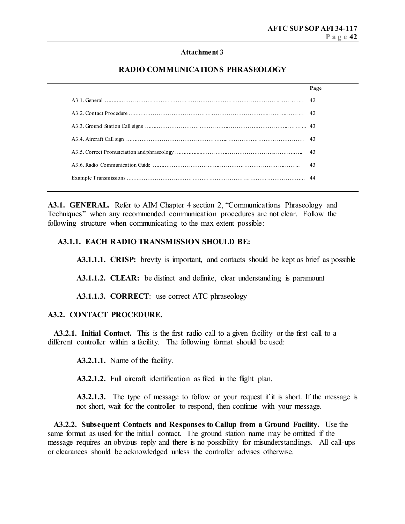#### **Attachment 3**

## **RADIO COMMUNICATIONS PHRASEOLOGY**

| Page |
|------|
|      |
|      |
|      |
|      |
|      |
|      |
|      |
|      |

A3.1. **GENERAL.** Refer to AIM Chapter 4 section 2, "Communications Phraseology and Techniques" when any recommended communication procedures are not clear. Follow the following structure when communicating to the max extent possible:

#### **A3.1.1. EACH RADIO TRANSMISSION SHOULD BE:**

**A3.1.1.1. CRISP:** brevity is important, and contacts should be kept as brief as possible

**A3.1.1.2. CLEAR:** be distinct and definite, clear understanding is paramount

**A3.1.1.3. CORRECT**: use correct ATC phraseology

#### **A3.2. CONTACT PROCEDURE.**

 **A3.2.1. Initial Contact.** This is the first radio call to a given facility or the first call to a different controller within a facility. The following format should be used:

**A3.2.1.1.** Name of the facility.

**A3.2.1.2.** Full aircraft identification as filed in the flight plan.

A3.2.1.3. The type of message to follow or your request if it is short. If the message is not short, wait for the controller to respond, then continue with your message.

 **A3.2.2. Subsequent Contacts and Responses to Callup from a Ground Facility.** Use the same format as used for the initial contact. The ground station name may be omitted if the message requires an obvious reply and there is no possibility for misunderstandings. All call-ups or clearances should be acknowledged unless the controller advises otherwise.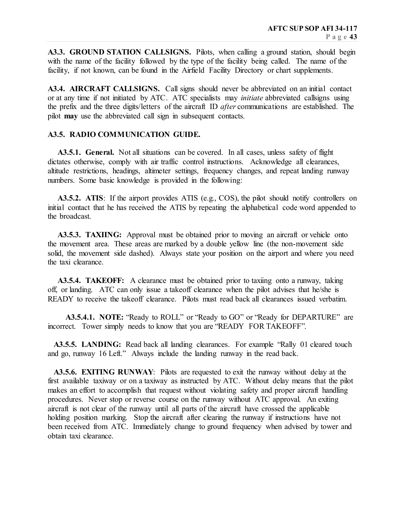**A3.3. GROUND STATION CALLSIGNS.** Pilots, when calling a ground station, should begin with the name of the facility followed by the type of the facility being called. The name of the facility, if not known, can be found in the Airfield Facility Directory or chart supplements.

**A3.4. AIRCRAFT CALLSIGNS.** Call signs should never be abbreviated on an initial contact or at any time if not initiated by ATC. ATC specialists may *initiate* abbreviated callsigns using the prefix and the three digits/letters of the aircraft ID *after* communications are established. The pilot **may** use the abbreviated call sign in subsequent contacts.

#### **A3.5. RADIO COMMUNICATION GUIDE.**

**A3.5.1. General.** Not all situations can be covered. In all cases, unless safety of flight dictates otherwise, comply with air traffic control instructions. Acknowledge all clearances, altitude restrictions, headings, altimeter settings, frequency changes, and repeat landing runway numbers. Some basic knowledge is provided in the following:

 **A3.5.2. ATIS**: If the airport provides ATIS (e.g., COS), the pilot should notify controllers on initial contact that he has received the ATIS by repeating the alphabetical code word appended to the broadcast.

 **A3.5.3. TAXIING:** Approval must be obtained prior to moving an aircraft or vehicle onto the movement area. These areas are marked by a double yellow line (the non-movement side solid, the movement side dashed). Always state your position on the airport and where you need the taxi clearance.

**A3.5.4. TAKEOFF:** A clearance must be obtained prior to taxiing onto a runway, taking off, or landing. ATC can only issue a takeoff clearance when the pilot advises that he/she is READY to receive the takeoff clearance. Pilots must read back all clearances issued verbatim.

 **A3.5.4.1. NOTE:** "Ready to ROLL" or "Ready to GO" or "Ready for DEPARTURE" are incorrect. Tower simply needs to know that you are "READY FOR TAKEOFF".

**A3.5.5. LANDING:** Read back all landing clearances. For example "Rally 01 cleared touch and go, runway 16 Left." Always include the landing runway in the read back.

 **A3.5.6. EXITING RUNWAY**: Pilots are requested to exit the runway without delay at the first available taxiway or on a taxiway as instructed by ATC. Without delay means that the pilot makes an effort to accomplish that request without violating safety and proper aircraft handling procedures. Never stop or reverse course on the runway without ATC approval. An exiting aircraft is not clear of the runway until all parts of the aircraft have crossed the applicable holding position marking. Stop the aircraft after clearing the runway if instructions have not been received from ATC. Immediately change to ground frequency when advised by tower and obtain taxi clearance.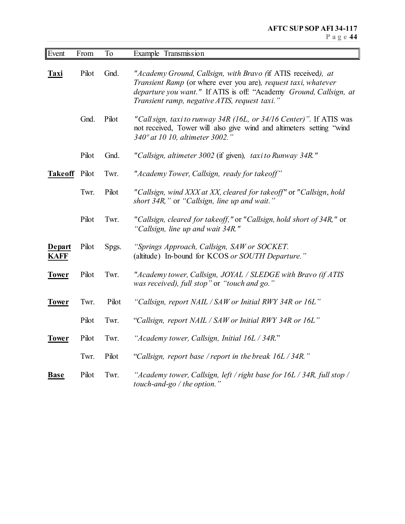| Event                        | From  | To    | Example Transmission                                                                                                                                                                                                                                  |
|------------------------------|-------|-------|-------------------------------------------------------------------------------------------------------------------------------------------------------------------------------------------------------------------------------------------------------|
| Taxi                         | Pilot | Gnd.  | "Academy Ground, Callsign, with Bravo (if ATIS received), at<br>Transient Ramp (or where ever you are), request taxi, whatever<br>departure you want." If ATIS is off: "Academy Ground, Callsign, at<br>Transient ramp, negative ATIS, request taxi." |
|                              | Gnd.  | Pilot | "Call sign, taxi to runway 34R (16L, or 34/16 Center)". If ATIS was<br>not received, Tower will also give wind and altimeters setting "wind<br>340° at 10 10, altimeter 3002."                                                                        |
|                              | Pilot | Gnd.  | "Callsign, altimeter 3002 (if given), taxi to Runway 34R."                                                                                                                                                                                            |
| <b>Takeoff</b>               | Pilot | Twr.  | "Academy Tower, Callsign, ready for takeoff"                                                                                                                                                                                                          |
|                              | Twr.  | Pilot | "Callsign, wind XXX at XX, cleared for takeoff" or "Callsign, hold<br>short 34R," or "Callsign, line up and wait."                                                                                                                                    |
|                              | Pilot | Twr.  | "Callsign, cleared for takeoff," or "Callsign, hold short of 34R," or<br>"Callsign, line up and wait 34R."                                                                                                                                            |
| <b>Depart</b><br><b>KAFF</b> | Pilot | Spgs. | "Springs Approach, Callsign, SAW or SOCKET.<br>(altitude) In-bound for KCOS or SOUTH Departure."                                                                                                                                                      |
| <b>Tower</b>                 | Pilot | Twr.  | "Academy tower, Callsign, JOYAL / SLEDGE with Bravo (if ATIS<br>was received), full stop" or "touch and go."                                                                                                                                          |
| <b>Tower</b>                 | Twr.  | Pilot | "Callsign, report NAIL / SAW or Initial RWY 34R or 16L"                                                                                                                                                                                               |
|                              | Pilot | Twr.  | "Callsign, report NAIL / SAW or Initial RWY 34R or 16L"                                                                                                                                                                                               |
| <b>Tower</b>                 | Pilot | Twr.  | "Academy tower, Callsign, Initial 16L / 34R."                                                                                                                                                                                                         |
|                              | Twr.  | Pilot | "Callsign, report base / report in the break 16L / 34R."                                                                                                                                                                                              |
| <b>Base</b>                  | Pilot | Twr.  | "Academy tower, Callsign, left / right base for $16L / 34R$ , full stop /<br>touch-and-go $/$ the option."                                                                                                                                            |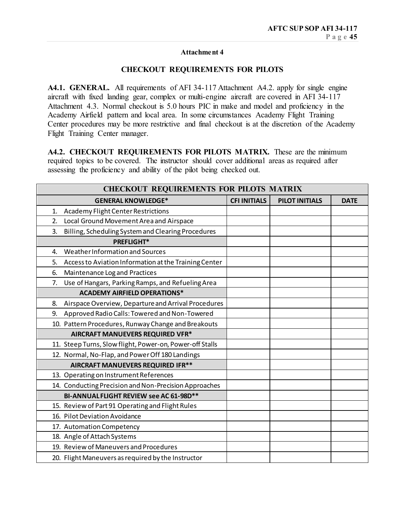## **Attachment 4**

## **CHECKOUT REQUIREMENTS FOR PILOTS**

A4.1. GENERAL. All requirements of AFI 34-117 Attachment A4.2. apply for single engine aircraft with fixed landing gear, complex or multi-engine aircraft are covered in AFI 34-117 Attachment 4.3. Normal checkout is 5.0 hours PIC in make and model and proficiency in the Academy Airfield pattern and local area. In some circumstances Academy Flight Training Center procedures may be more restrictive and final checkout is at the discretion of the Academy Flight Training Center manager.

**A4.2. CHECKOUT REQUIREMENTS FOR PILOTS MATRIX.** These are the minimum required topics to be covered. The instructor should cover additional areas as required after assessing the proficiency and ability of the pilot being checked out.

| <b>CHECKOUT REQUIREMENTS FOR PILOTS MATRIX</b>              |                     |                       |             |  |  |  |  |
|-------------------------------------------------------------|---------------------|-----------------------|-------------|--|--|--|--|
| <b>GENERAL KNOWLEDGE*</b>                                   | <b>CFI INITIALS</b> | <b>PILOT INITIALS</b> | <b>DATE</b> |  |  |  |  |
| Academy Flight Center Restrictions<br>1.                    |                     |                       |             |  |  |  |  |
| Local Ground Movement Area and Airspace<br>2.               |                     |                       |             |  |  |  |  |
| Billing, Scheduling System and Clearing Procedures<br>3.    |                     |                       |             |  |  |  |  |
| <b>PREFLIGHT*</b>                                           |                     |                       |             |  |  |  |  |
| Weather Information and Sources<br>4.                       |                     |                       |             |  |  |  |  |
| Access to Aviation Information at the Training Center<br>5. |                     |                       |             |  |  |  |  |
| Maintenance Log and Practices<br>6.                         |                     |                       |             |  |  |  |  |
| Use of Hangars, Parking Ramps, and Refueling Area<br>7.     |                     |                       |             |  |  |  |  |
| <b>ACADEMY AIRFIELD OPERATIONS*</b>                         |                     |                       |             |  |  |  |  |
| Airspace Overview, Departure and Arrival Procedures<br>8.   |                     |                       |             |  |  |  |  |
| Approved Radio Calls: Towered and Non-Towered<br>9.         |                     |                       |             |  |  |  |  |
| 10. Pattern Procedures, Runway Change and Breakouts         |                     |                       |             |  |  |  |  |
| AIRCRAFT MANUEVERS REQUIRED VFR*                            |                     |                       |             |  |  |  |  |
| 11. Steep Turns, Slow flight, Power-on, Power-off Stalls    |                     |                       |             |  |  |  |  |
| 12. Normal, No-Flap, and Power Off 180 Landings             |                     |                       |             |  |  |  |  |
| AIRCRAFT MANUEVERS REQUIRED IFR**                           |                     |                       |             |  |  |  |  |
| 13. Operating on Instrument References                      |                     |                       |             |  |  |  |  |
| 14. Conducting Precision and Non-Precision Approaches       |                     |                       |             |  |  |  |  |
| BI-ANNUAL FLIGHT REVIEW see AC 61-98D**                     |                     |                       |             |  |  |  |  |
| 15. Review of Part 91 Operating and Flight Rules            |                     |                       |             |  |  |  |  |
| 16. Pilot Deviation Avoidance                               |                     |                       |             |  |  |  |  |
| 17. Automation Competency                                   |                     |                       |             |  |  |  |  |
| 18. Angle of Attach Systems                                 |                     |                       |             |  |  |  |  |
| 19. Review of Maneuvers and Procedures                      |                     |                       |             |  |  |  |  |
| 20. Flight Maneuvers as required by the Instructor          |                     |                       |             |  |  |  |  |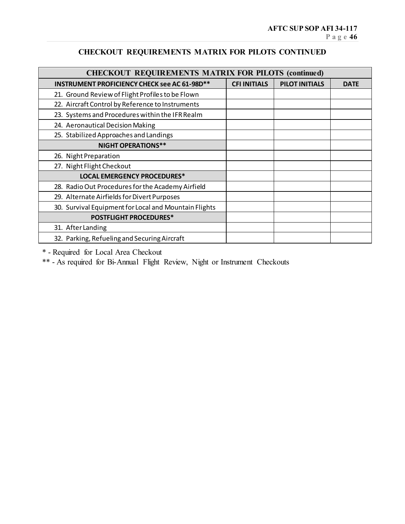## **CHECKOUT REQUIREMENTS MATRIX FOR PILOTS CONTINUED**

| <b>CHECKOUT REQUIREMENTS MATRIX FOR PILOTS (continued)</b> |                     |                       |             |
|------------------------------------------------------------|---------------------|-----------------------|-------------|
| <b>INSTRUMENT PROFICIENCY CHECK see AC 61-98D**</b>        | <b>CFI INITIALS</b> | <b>PILOT INITIALS</b> | <b>DATE</b> |
| 21. Ground Review of Flight Profiles to be Flown           |                     |                       |             |
| 22. Aircraft Control by Reference to Instruments           |                     |                       |             |
| 23. Systems and Procedures within the IFR Realm            |                     |                       |             |
| 24. Aeronautical Decision Making                           |                     |                       |             |
| 25. Stabilized Approaches and Landings                     |                     |                       |             |
| <b>NIGHT OPERATIONS**</b>                                  |                     |                       |             |
| 26. Night Preparation                                      |                     |                       |             |
| 27. Night Flight Checkout                                  |                     |                       |             |
| <b>LOCAL EMERGENCY PROCEDURES*</b>                         |                     |                       |             |
| 28. Radio Out Procedures for the Academy Airfield          |                     |                       |             |
| 29. Alternate Airfields for Divert Purposes                |                     |                       |             |
| 30. Survival Equipment for Local and Mountain Flights      |                     |                       |             |
| <b>POSTFLIGHT PROCEDURES*</b>                              |                     |                       |             |
| 31. After Landing                                          |                     |                       |             |
| 32. Parking, Refueling and Securing Aircraft               |                     |                       |             |

\* - Required for Local Area Checkout

\*\* - As required for Bi-Annual Flight Review, Night or Instrument Checkouts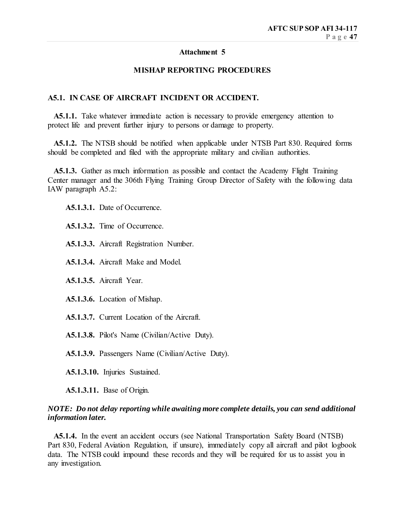## **Attachment 5**

## **MISHAP REPORTING PROCEDURES**

## **A5.1. IN CASE OF AIRCRAFT INCIDENT OR ACCIDENT.**

 **A5.1.1.** Take whatever immediate action is necessary to provide emergency attention to protect life and prevent further injury to persons or damage to property.

 **A5.1.2.** The NTSB should be notified when applicable under NTSB Part 830. Required forms should be completed and filed with the appropriate military and civilian authorities.

**A5.1.3.** Gather as much information as possible and contact the Academy Flight Training Center manager and the 306th Flying Training Group Director of Safety with the following data IAW paragraph A5.2:

 **A5.1.3.1.** Date of Occurrence.

 **A5.1.3.2.** Time of Occurrence.

 **A5.1.3.3.** Aircraft Registration Number.

 **A5.1.3.4.** Aircraft Make and Model.

 **A5.1.3.5.** Aircraft Year.

 **A5.1.3.6.** Location of Mishap.

 **A5.1.3.7.** Current Location of the Aircraft.

 **A5.1.3.8.** Pilot's Name (Civilian/Active Duty).

 **A5.1.3.9.** Passengers Name (Civilian/Active Duty).

 **A5.1.3.10.** Injuries Sustained.

 **A5.1.3.11.** Base of Origin.

## *NOTE: Do not delay reporting while awaiting more complete details, you can send additional information later.*

 **A5.1.4.** In the event an accident occurs (see National Transportation Safety Board (NTSB) Part 830, Federal Aviation Regulation, if unsure), immediately copy all aircraft and pilot logbook data. The NTSB could impound these records and they will be required for us to assist you in any investigation.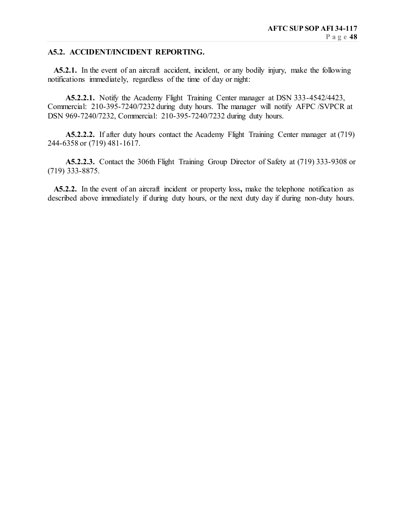## **A5.2. ACCIDENT/INCIDENT REPORTING.**

 **A5.2.1.** In the event of an aircraft accident, incident, or any bodily injury, make the following notifications immediately, regardless of the time of day or night:

 **A5.2.2.1.** Notify the Academy Flight Training Center manager at DSN 333-4542/4423, Commercial: 210-395-7240/7232 during duty hours. The manager will notify AFPC /SVPCR at DSN 969-7240/7232, Commercial: 210-395-7240/7232 during duty hours.

 **A5.2.2.2.** If after duty hours contact the Academy Flight Training Center manager at (719) 244-6358 or (719) 481-1617.

 **A5.2.2.3.** Contact the 306th Flight Training Group Director of Safety at (719) 333-9308 or (719) 333-8875.

 **A5.2.2.** In the event of an aircraft incident or property loss**,** make the telephone notification as described above immediately if during duty hours, or the next duty day if during non-duty hours.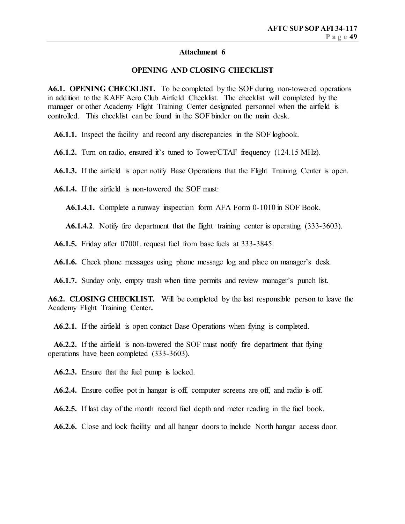#### **Attachment 6**

## **OPENING AND CLOSING CHECKLIST**

**A6.1. OPENING CHECKLIST.** To be completed by the SOF during non-towered operations in addition to the KAFF Aero Club Airfield Checklist. The checklist will completed by the manager or other Academy Flight Training Center designated personnel when the airfield is controlled. This checklist can be found in the SOF binder on the main desk.

 **A6.1.1.** Inspect the facility and record any discrepancies in the SOF logbook.

 **A6.1.2.** Turn on radio, ensured it's tuned to Tower/CTAF frequency (124.15 MHz).

 **A6.1.3.** If the airfield is open notify Base Operations that the Flight Training Center is open.

 **A6.1.4.** If the airfield is non-towered the SOF must:

 **A6.1.4.1.** Complete a runway inspection form AFA Form 0-1010 in SOF Book.

 **A6.1.4.2**. Notify fire department that the flight training center is operating (333-3603).

 **A6.1.5.** Friday after 0700L request fuel from base fuels at 333-3845.

 **A6.1.6.** Check phone messages using phone message log and place on manager's desk.

 **A6.1.7.** Sunday only, empty trash when time permits and review manager's punch list.

**A6.2. CLOSING CHECKLIST.** Will be completed by the last responsible person to leave the Academy Flight Training Center**.**

 **A6.2.1.** If the airfield is open contact Base Operations when flying is completed.

 **A6.2.2.** If the airfield is non-towered the SOF must notify fire department that flying operations have been completed (333-3603).

 **A6.2.3.** Ensure that the fuel pump is locked.

 **A6.2.4.** Ensure coffee pot in hangar is off, computer screens are off, and radio is off.

 **A6.2.5.** If last day of the month record fuel depth and meter reading in the fuel book.

 **A6.2.6.** Close and lock facility and all hangar doors to include North hangar access door.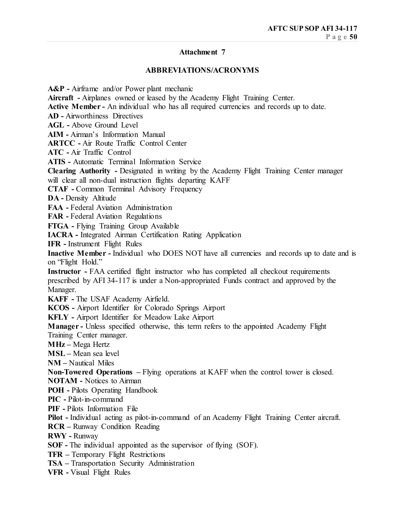## **Attachment 7**

#### **ABBREVIATIONS/ACRONYMS**

**A&P -** Airframe and/or Power plant mechanic **Aircraft -** Airplanes owned or leased by the Academy Flight Training Center. **Active Member -** An individual who has all required currencies and records up to date. **AD -** Airworthiness Directives **AGL -** Above Ground Level **AIM -** Airman's Information Manual **ARTCC -** Air Route Traffic Control Center **ATC -** Air Traffic Control **ATIS -** Automatic Terminal Information Service **Clearing Authority -** Designated in writing by the Academy Flight Training Center manager will clear all non-dual instruction flights departing KAFF **CTAF -** Common Terminal Advisory Frequency **DA -** Density Altitude **FAA -** Federal Aviation Administration **FAR -** Federal Aviation Regulations **FTGA -** Flying Training Group Available **IACRA -** Integrated Airman Certification Rating Application **IFR -** Instrument Flight Rules **Inactive Member -** Individual who DOES NOT have all currencies and records up to date and is on "Flight Hold." **Instructor -** FAA certified flight instructor who has completed all checkout requirements prescribed by AFI 34-117 is under a Non-appropriated Funds contract and approved by the Manager. **KAFF -** The USAF Academy Airfield. **KCOS -** Airport Identifier for Colorado Springs Airport **KFLY -** Airport Identifier for Meadow Lake Airport **Manager -** Unless specified otherwise, this term refers to the appointed Academy Flight Training Center manager. **MHz –** Mega Hertz **MSL –** Mean sea level **NM –** Nautical Miles **Non-Towered Operations –** Flying operations at KAFF when the control tower is closed. **NOTAM -** Notices to Airman **POH -** Pilots Operating Handbook **PIC -** Pilot-in-command **PIF -** Pilots Information File **Pilot -** Individual acting as pilot-in-command of an Academy Flight Training Center aircraft. **RCR –** Runway Condition Reading **RWY -** Runway **SOF -** The individual appointed as the supervisor of flying (SOF). **TFR –** Temporary Flight Restrictions **TSA –** Transportation Security Administration **VFR -** Visual Flight Rules